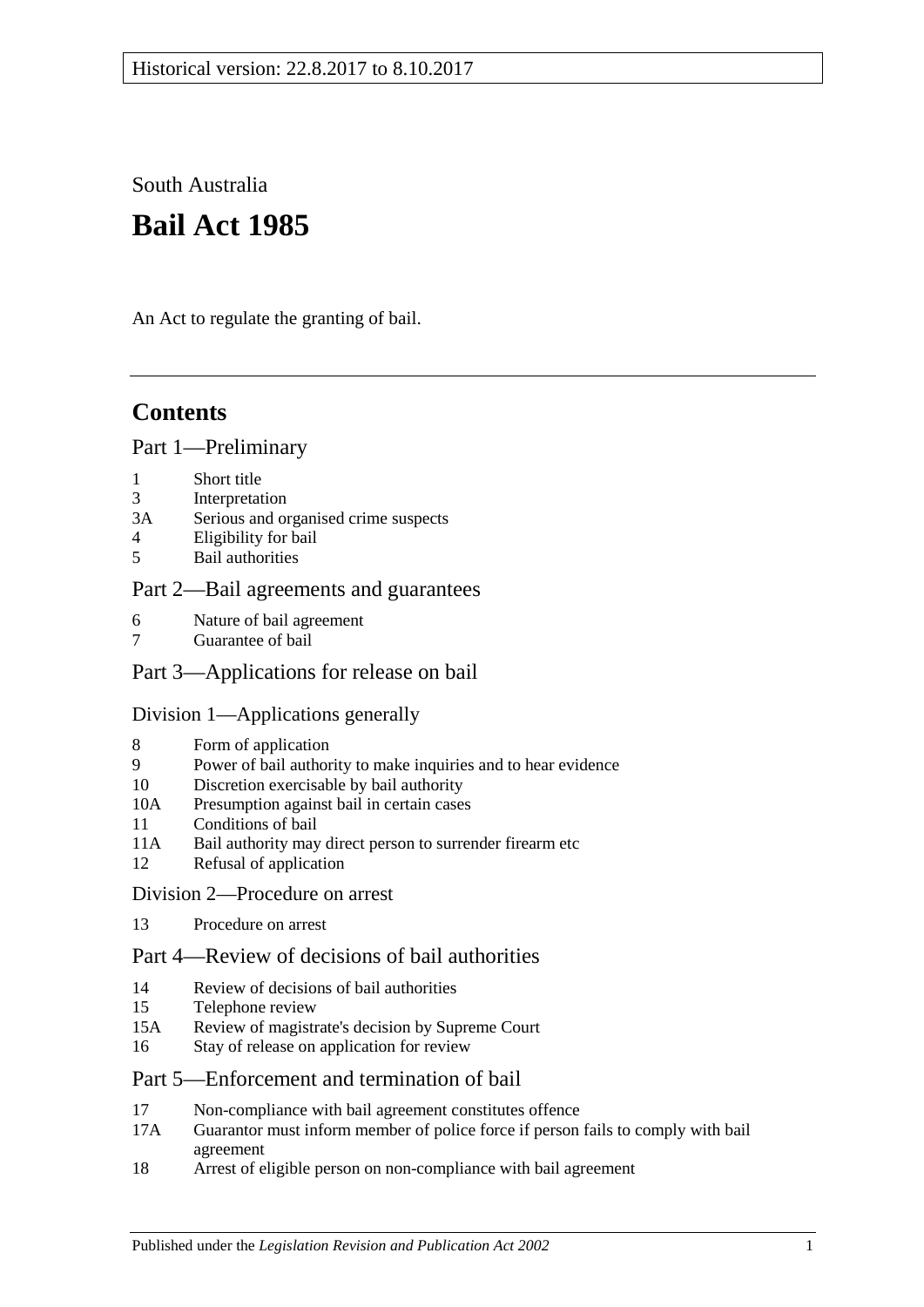South Australia

# **Bail Act 1985**

An Act to regulate the granting of bail.

## **Contents**

### [Part 1—Preliminary](#page-1-0)

- 1 [Short title](#page-1-1)
- 3 [Interpretation](#page-1-2)<br>3A Serious and of
- 3A [Serious and organised crime suspects](#page-3-0)<br>4 Eligibility for bail
- 4 [Eligibility for bail](#page-3-1)<br>5 Bail authorities
- 5 [Bail authorities](#page-4-0)

## [Part 2—Bail agreements and guarantees](#page-5-0)

- 6 [Nature of bail agreement](#page-5-1)
- [Guarantee of bail](#page-6-0)

## [Part 3—Applications for release on bail](#page-7-0)

## [Division 1—Applications generally](#page-7-1)

- 8 [Form of application](#page-7-2)<br>9 Power of bail author
- [Power of bail authority to make inquiries and to hear evidence](#page-7-3)
- 10 [Discretion exercisable by bail authority](#page-8-0)
- 10A [Presumption against bail in certain cases](#page-8-1)
- 11 [Conditions of bail](#page-10-0)
- 11A [Bail authority may direct person to surrender firearm etc](#page-14-0)
- 12 [Refusal of application](#page-14-1)
- [Division 2—Procedure on arrest](#page-14-2)
- 13 [Procedure on arrest](#page-14-3)

## [Part 4—Review of decisions of bail authorities](#page-15-0)

- 14 [Review of decisions of bail authorities](#page-15-1)
- 15 [Telephone review](#page-16-0)<br>15A Review of magistr
- Review of magistrate's [decision by Supreme Court](#page-17-0)
- 16 [Stay of release on application for review](#page-17-1)

## [Part 5—Enforcement and termination of bail](#page-18-0)

- 17 [Non-compliance with bail agreement constitutes offence](#page-18-1)
- 17A [Guarantor must inform member of police force if person fails to comply with bail](#page-19-0)  [agreement](#page-19-0)
- 18 [Arrest of eligible person on non-compliance with bail agreement](#page-19-1)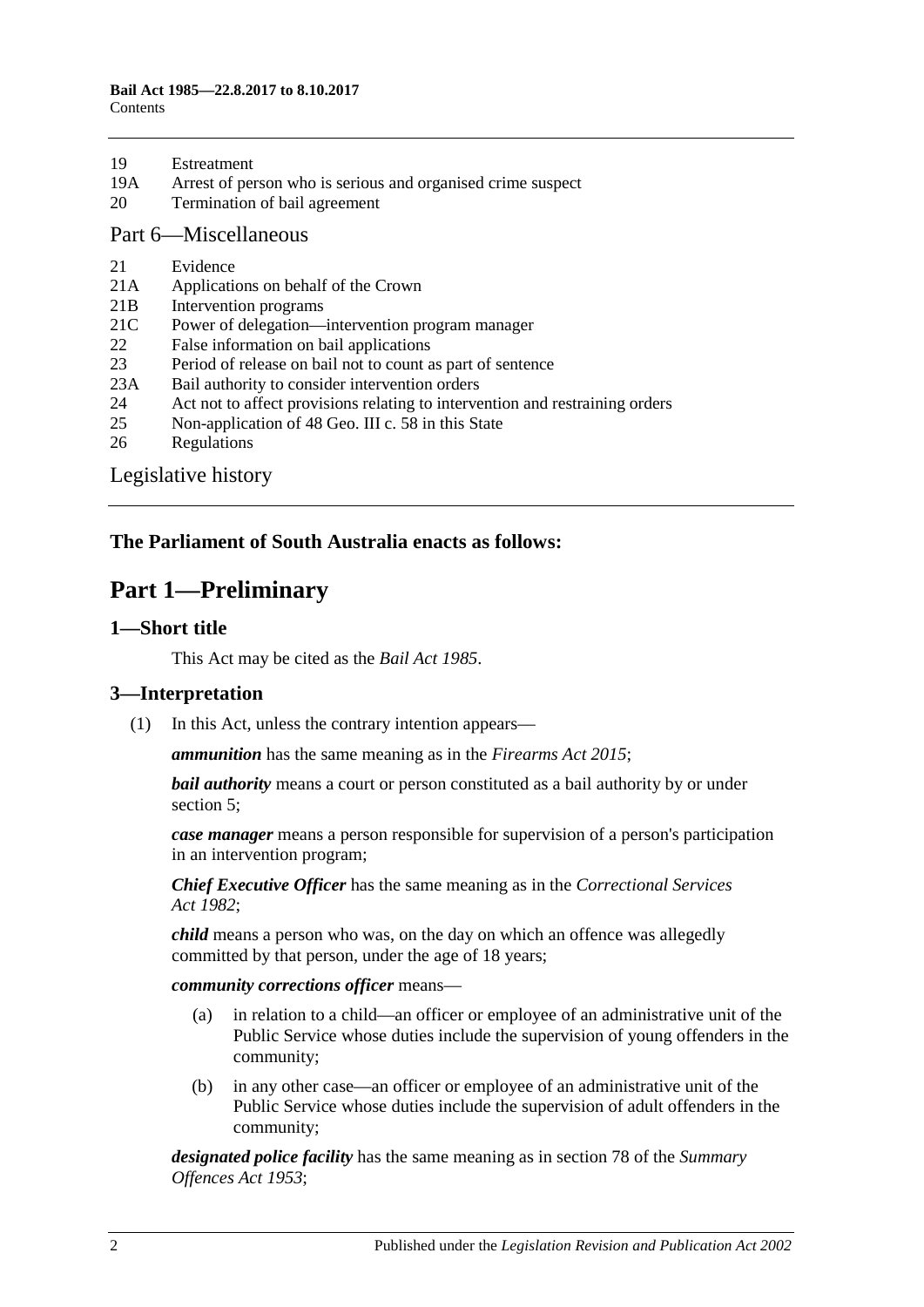- 19A [Arrest of person who is serious and organised crime suspect](#page-20-0)<br>20 Termination of bail agreement
- [Termination of bail agreement](#page-20-1)

[Part 6—Miscellaneous](#page-20-2)

- 21 [Evidence](#page-20-3)<br>21A Applicatio
- [Applications on behalf of the Crown](#page-20-4)
- 21B [Intervention programs](#page-20-5)
- 21C [Power of delegation—intervention program manager](#page-21-0)
- 22 [False information on bail applications](#page-22-0)<br>23 Period of release on bail not to count a
- 23 [Period of release on bail not to count as part of sentence](#page-22-1)<br>23A Bail authority to consider intervention orders
- [Bail authority to consider intervention orders](#page-22-2)
- 24 [Act not to affect provisions relating to intervention and restraining orders](#page-23-0)<br>25 Non-application of 48 Geo. III c. 58 in this State
- [Non-application of 48 Geo. III c. 58 in this State](#page-23-1)
- 26 [Regulations](#page-23-2)

[Legislative history](#page-24-0)

## <span id="page-1-0"></span>**The Parliament of South Australia enacts as follows:**

## **Part 1—Preliminary**

#### <span id="page-1-1"></span>**1—Short title**

This Act may be cited as the *Bail Act 1985*.

#### <span id="page-1-2"></span>**3—Interpretation**

(1) In this Act, unless the contrary intention appears—

*ammunition* has the same meaning as in the *[Firearms Act](http://www.legislation.sa.gov.au/index.aspx?action=legref&type=act&legtitle=Firearms%20Act%202015) 2015*;

*bail authority* means a court or person constituted as a bail authority by or under [section](#page-4-0) 5;

*case manager* means a person responsible for supervision of a person's participation in an intervention program;

*Chief Executive Officer* has the same meaning as in the *[Correctional Services](http://www.legislation.sa.gov.au/index.aspx?action=legref&type=act&legtitle=Correctional%20Services%20Act%201982)  Act [1982](http://www.legislation.sa.gov.au/index.aspx?action=legref&type=act&legtitle=Correctional%20Services%20Act%201982)*;

*child* means a person who was, on the day on which an offence was allegedly committed by that person, under the age of 18 years;

*community corrections officer* means—

- (a) in relation to a child—an officer or employee of an administrative unit of the Public Service whose duties include the supervision of young offenders in the community;
- (b) in any other case—an officer or employee of an administrative unit of the Public Service whose duties include the supervision of adult offenders in the community;

*designated police facility* has the same meaning as in section 78 of the *[Summary](http://www.legislation.sa.gov.au/index.aspx?action=legref&type=act&legtitle=Summary%20Offences%20Act%201953)  [Offences Act](http://www.legislation.sa.gov.au/index.aspx?action=legref&type=act&legtitle=Summary%20Offences%20Act%201953) 1953*;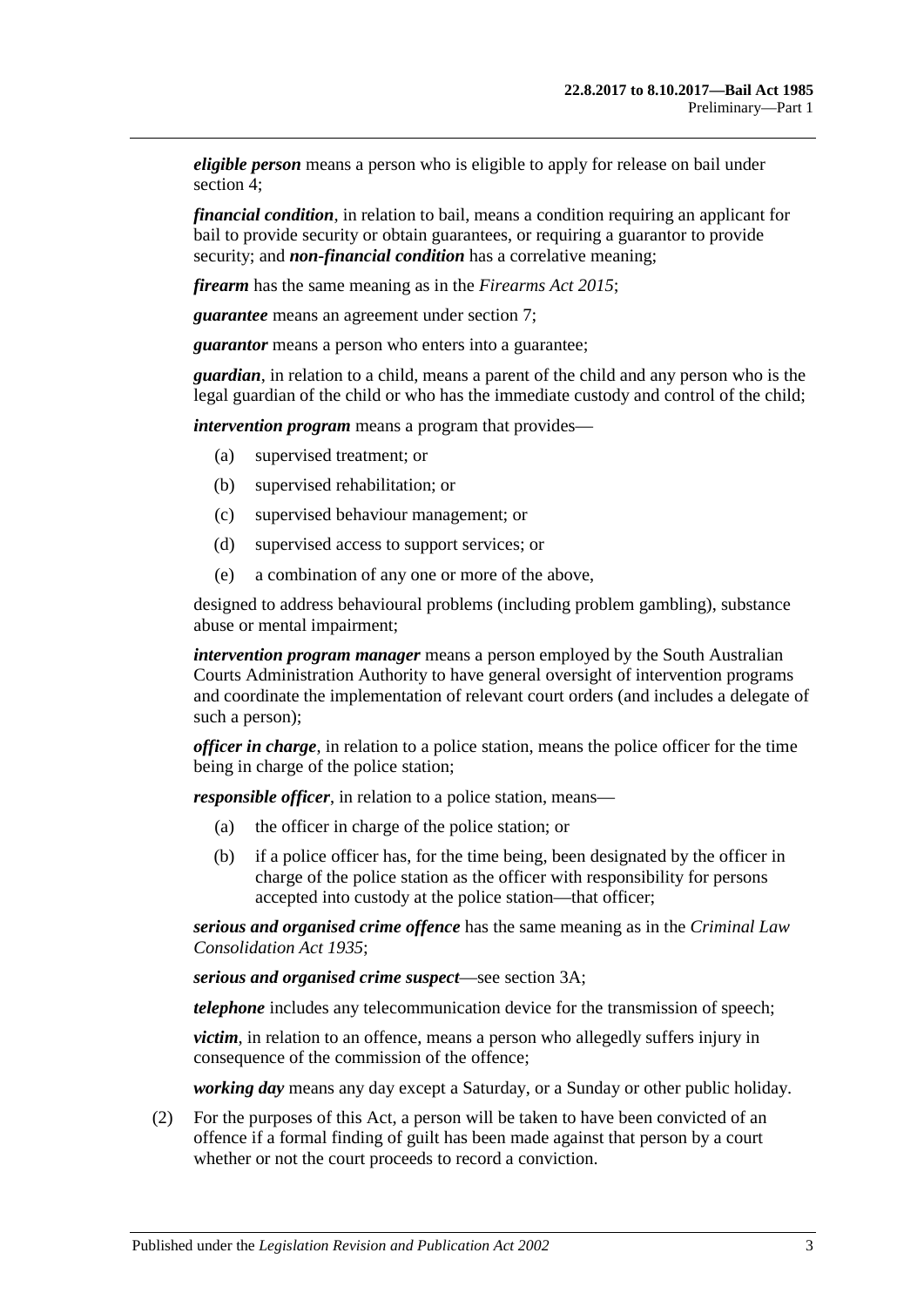*eligible person* means a person who is eligible to apply for release on bail under [section](#page-3-1) 4;

*financial condition*, in relation to bail, means a condition requiring an applicant for bail to provide security or obtain guarantees, or requiring a guarantor to provide security; and *non-financial condition* has a correlative meaning;

*firearm* has the same meaning as in the *[Firearms Act](http://www.legislation.sa.gov.au/index.aspx?action=legref&type=act&legtitle=Firearms%20Act%202015) 2015*;

*guarantee* means an agreement under [section](#page-6-0) 7;

*guarantor* means a person who enters into a guarantee;

*guardian*, in relation to a child, means a parent of the child and any person who is the legal guardian of the child or who has the immediate custody and control of the child;

*intervention program* means a program that provides—

- (a) supervised treatment; or
- (b) supervised rehabilitation; or
- (c) supervised behaviour management; or
- (d) supervised access to support services; or
- (e) a combination of any one or more of the above,

designed to address behavioural problems (including problem gambling), substance abuse or mental impairment;

*intervention program manager* means a person employed by the South Australian Courts Administration Authority to have general oversight of intervention programs and coordinate the implementation of relevant court orders (and includes a delegate of such a person);

*officer in charge*, in relation to a police station, means the police officer for the time being in charge of the police station;

*responsible officer*, in relation to a police station, means—

- (a) the officer in charge of the police station; or
- (b) if a police officer has, for the time being, been designated by the officer in charge of the police station as the officer with responsibility for persons accepted into custody at the police station—that officer;

*serious and organised crime offence* has the same meaning as in the *[Criminal Law](http://www.legislation.sa.gov.au/index.aspx?action=legref&type=act&legtitle=Criminal%20Law%20Consolidation%20Act%201935)  [Consolidation Act](http://www.legislation.sa.gov.au/index.aspx?action=legref&type=act&legtitle=Criminal%20Law%20Consolidation%20Act%201935) 1935*;

*serious and organised crime suspect*—see [section](#page-3-0) 3A;

*telephone* includes any telecommunication device for the transmission of speech;

*victim*, in relation to an offence, means a person who allegedly suffers injury in consequence of the commission of the offence;

*working day* means any day except a Saturday, or a Sunday or other public holiday.

(2) For the purposes of this Act, a person will be taken to have been convicted of an offence if a formal finding of guilt has been made against that person by a court whether or not the court proceeds to record a conviction.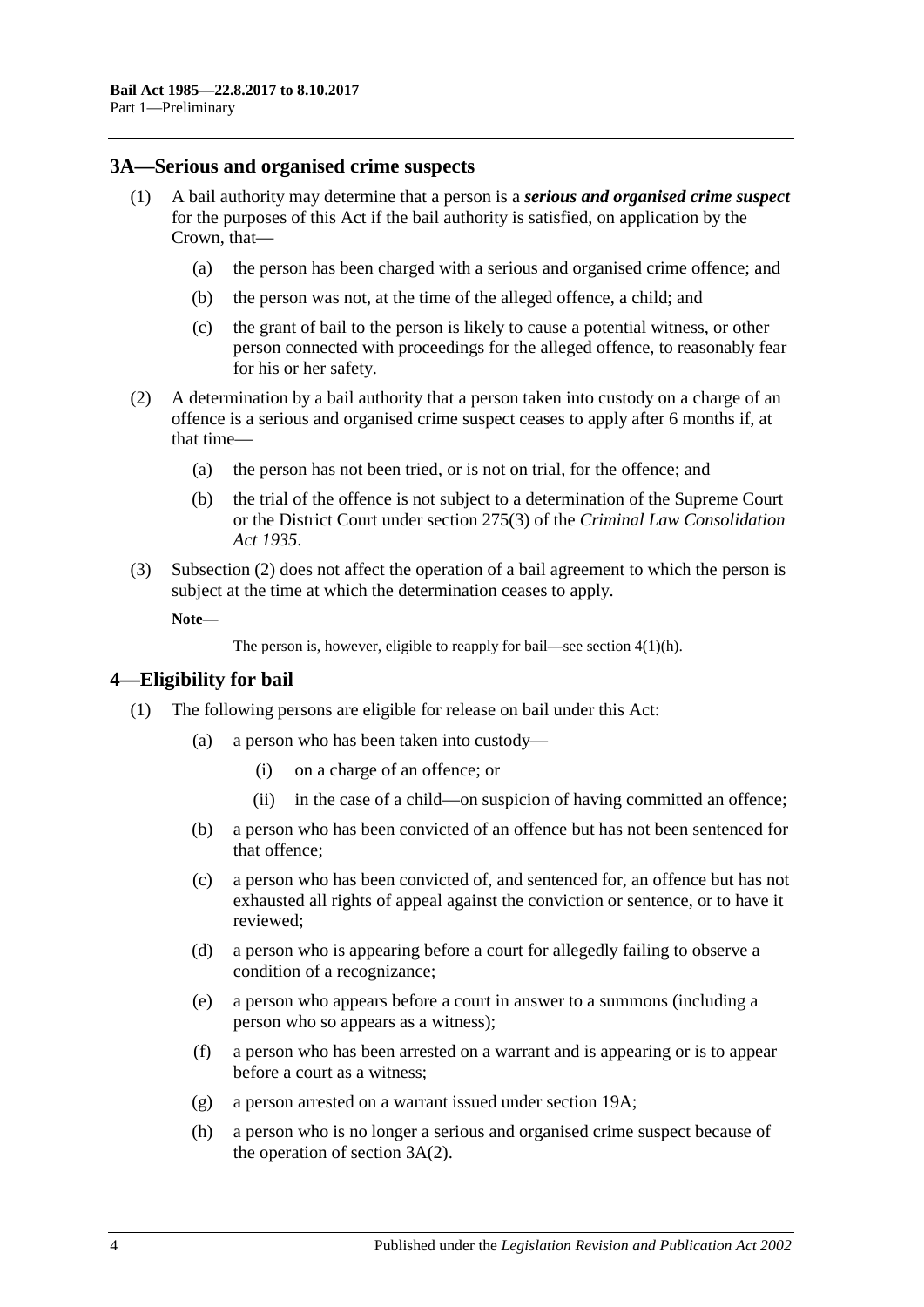#### <span id="page-3-0"></span>**3A—Serious and organised crime suspects**

- <span id="page-3-5"></span><span id="page-3-4"></span>(1) A bail authority may determine that a person is a *serious and organised crime suspect* for the purposes of this Act if the bail authority is satisfied, on application by the Crown, that—
	- (a) the person has been charged with a serious and organised crime offence; and
	- (b) the person was not, at the time of the alleged offence, a child; and
	- (c) the grant of bail to the person is likely to cause a potential witness, or other person connected with proceedings for the alleged offence, to reasonably fear for his or her safety.
- <span id="page-3-6"></span><span id="page-3-2"></span>(2) A determination by a bail authority that a person taken into custody on a charge of an offence is a serious and organised crime suspect ceases to apply after 6 months if, at that time—
	- (a) the person has not been tried, or is not on trial, for the offence; and
	- (b) the trial of the offence is not subject to a determination of the Supreme Court or the District Court under section 275(3) of the *[Criminal Law Consolidation](http://www.legislation.sa.gov.au/index.aspx?action=legref&type=act&legtitle=Criminal%20Law%20Consolidation%20Act%201935)  Act [1935](http://www.legislation.sa.gov.au/index.aspx?action=legref&type=act&legtitle=Criminal%20Law%20Consolidation%20Act%201935)*.
- (3) [Subsection](#page-3-2) (2) does not affect the operation of a bail agreement to which the person is subject at the time at which the determination ceases to apply.

**Note—**

```
The person is, however, eligible to reapply for bail—see section 4(1)(h).
```
## <span id="page-3-1"></span>**4—Eligibility for bail**

- <span id="page-3-3"></span>(1) The following persons are eligible for release on bail under this Act:
	- (a) a person who has been taken into custody—
		- (i) on a charge of an offence; or
		- (ii) in the case of a child—on suspicion of having committed an offence;
	- (b) a person who has been convicted of an offence but has not been sentenced for that offence;
	- (c) a person who has been convicted of, and sentenced for, an offence but has not exhausted all rights of appeal against the conviction or sentence, or to have it reviewed;
	- (d) a person who is appearing before a court for allegedly failing to observe a condition of a recognizance;
	- (e) a person who appears before a court in answer to a summons (including a person who so appears as a witness);
	- (f) a person who has been arrested on a warrant and is appearing or is to appear before a court as a witness;
	- (g) a person arrested on a warrant issued under [section](#page-20-0) 19A;
	- (h) a person who is no longer a serious and organised crime suspect because of the operation of [section](#page-3-2) 3A(2).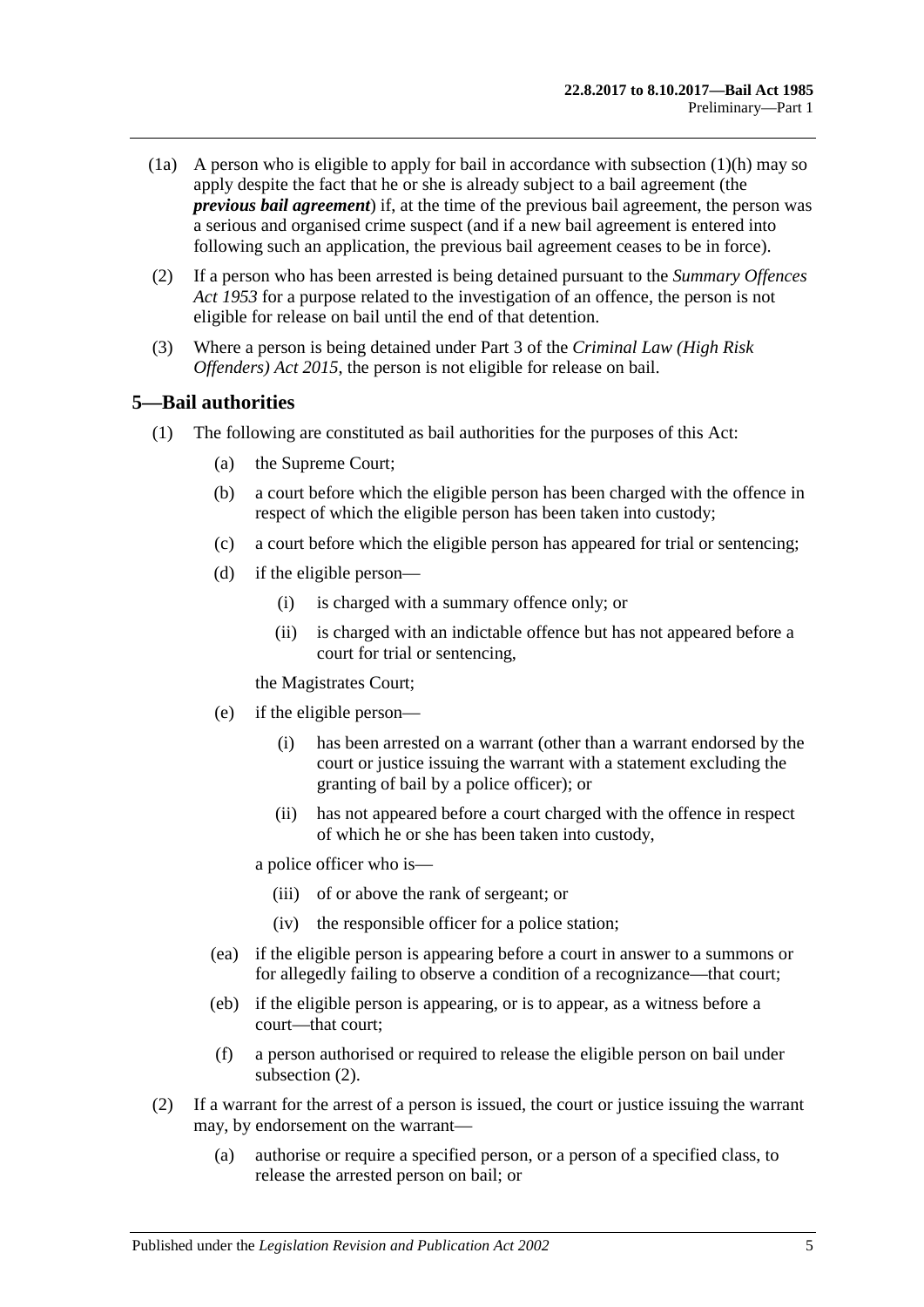- (1a) A person who is eligible to apply for bail in accordance with [subsection](#page-3-3)  $(1)(h)$  may so apply despite the fact that he or she is already subject to a bail agreement (the *previous bail agreement*) if, at the time of the previous bail agreement, the person was a serious and organised crime suspect (and if a new bail agreement is entered into following such an application, the previous bail agreement ceases to be in force).
- (2) If a person who has been arrested is being detained pursuant to the *[Summary Offences](http://www.legislation.sa.gov.au/index.aspx?action=legref&type=act&legtitle=Summary%20Offences%20Act%201953)  Act [1953](http://www.legislation.sa.gov.au/index.aspx?action=legref&type=act&legtitle=Summary%20Offences%20Act%201953)* for a purpose related to the investigation of an offence, the person is not eligible for release on bail until the end of that detention.
- (3) Where a person is being detained under Part 3 of the *[Criminal Law \(High Risk](http://www.legislation.sa.gov.au/index.aspx?action=legref&type=act&legtitle=Criminal%20Law%20(High%20Risk%20Offenders)%20Act%202015)  [Offenders\) Act](http://www.legislation.sa.gov.au/index.aspx?action=legref&type=act&legtitle=Criminal%20Law%20(High%20Risk%20Offenders)%20Act%202015) 2015*, the person is not eligible for release on bail.

### <span id="page-4-0"></span>**5—Bail authorities**

- (1) The following are constituted as bail authorities for the purposes of this Act:
	- (a) the Supreme Court;
	- (b) a court before which the eligible person has been charged with the offence in respect of which the eligible person has been taken into custody;
	- (c) a court before which the eligible person has appeared for trial or sentencing;
	- (d) if the eligible person—
		- (i) is charged with a summary offence only; or
		- (ii) is charged with an indictable offence but has not appeared before a court for trial or sentencing,

the Magistrates Court;

- (e) if the eligible person—
	- (i) has been arrested on a warrant (other than a warrant endorsed by the court or justice issuing the warrant with a statement excluding the granting of bail by a police officer); or
	- (ii) has not appeared before a court charged with the offence in respect of which he or she has been taken into custody,

a police officer who is—

- (iii) of or above the rank of sergeant; or
- (iv) the responsible officer for a police station;
- (ea) if the eligible person is appearing before a court in answer to a summons or for allegedly failing to observe a condition of a recognizance—that court;
- (eb) if the eligible person is appearing, or is to appear, as a witness before a court—that court;
- (f) a person authorised or required to release the eligible person on bail under [subsection](#page-4-1) (2).
- <span id="page-4-1"></span>(2) If a warrant for the arrest of a person is issued, the court or justice issuing the warrant may, by endorsement on the warrant—
	- (a) authorise or require a specified person, or a person of a specified class, to release the arrested person on bail; or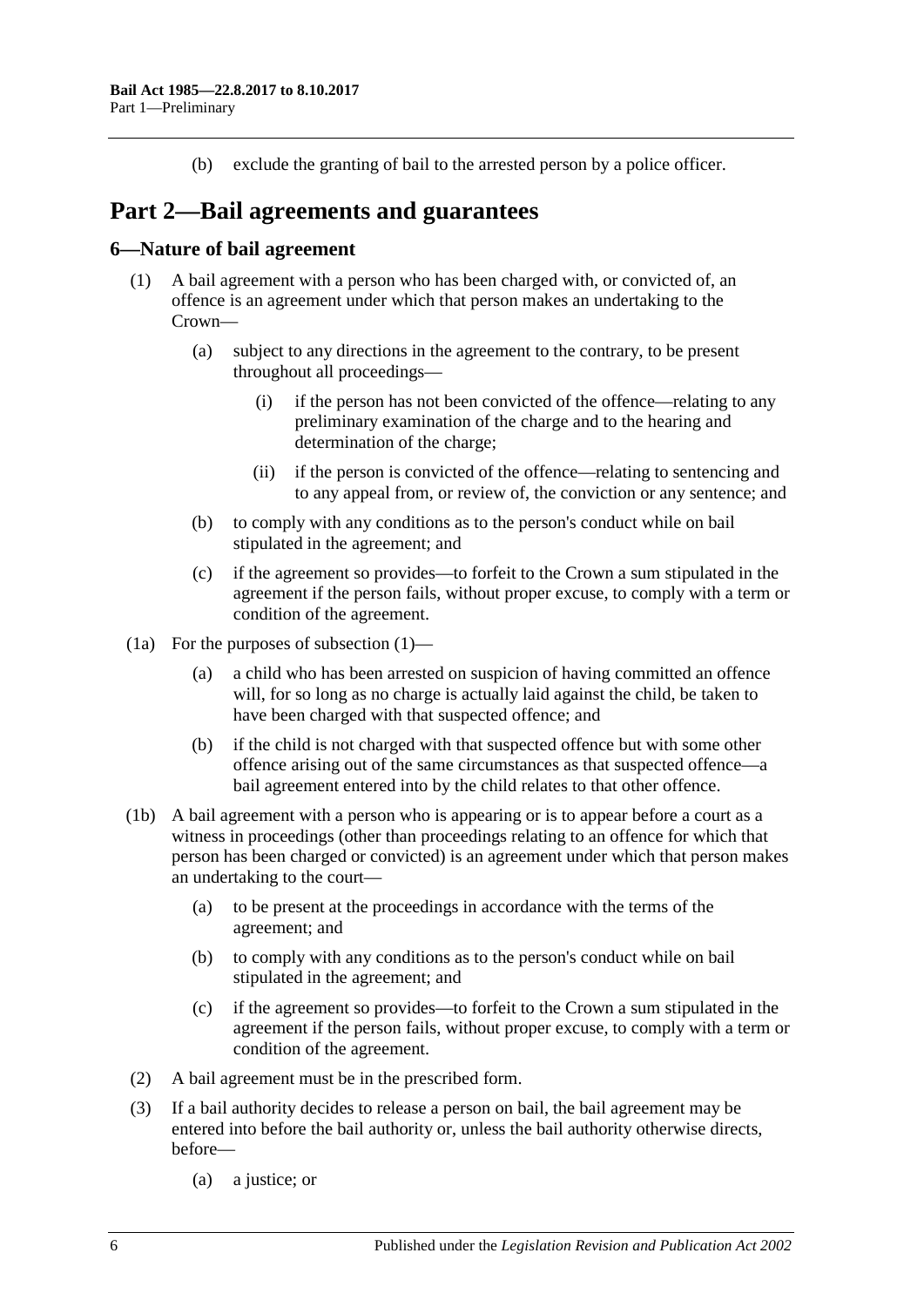(b) exclude the granting of bail to the arrested person by a police officer.

## <span id="page-5-0"></span>**Part 2—Bail agreements and guarantees**

### <span id="page-5-2"></span><span id="page-5-1"></span>**6—Nature of bail agreement**

- (1) A bail agreement with a person who has been charged with, or convicted of, an offence is an agreement under which that person makes an undertaking to the Crown—
	- (a) subject to any directions in the agreement to the contrary, to be present throughout all proceedings—
		- (i) if the person has not been convicted of the offence—relating to any preliminary examination of the charge and to the hearing and determination of the charge;
		- (ii) if the person is convicted of the offence—relating to sentencing and to any appeal from, or review of, the conviction or any sentence; and
	- (b) to comply with any conditions as to the person's conduct while on bail stipulated in the agreement; and
	- (c) if the agreement so provides—to forfeit to the Crown a sum stipulated in the agreement if the person fails, without proper excuse, to comply with a term or condition of the agreement.
- (1a) For the purposes of [subsection](#page-5-2) (1)—
	- (a) a child who has been arrested on suspicion of having committed an offence will, for so long as no charge is actually laid against the child, be taken to have been charged with that suspected offence; and
	- (b) if the child is not charged with that suspected offence but with some other offence arising out of the same circumstances as that suspected offence—a bail agreement entered into by the child relates to that other offence.
- (1b) A bail agreement with a person who is appearing or is to appear before a court as a witness in proceedings (other than proceedings relating to an offence for which that person has been charged or convicted) is an agreement under which that person makes an undertaking to the court—
	- (a) to be present at the proceedings in accordance with the terms of the agreement; and
	- (b) to comply with any conditions as to the person's conduct while on bail stipulated in the agreement; and
	- (c) if the agreement so provides—to forfeit to the Crown a sum stipulated in the agreement if the person fails, without proper excuse, to comply with a term or condition of the agreement.
- (2) A bail agreement must be in the prescribed form.
- (3) If a bail authority decides to release a person on bail, the bail agreement may be entered into before the bail authority or, unless the bail authority otherwise directs, before—
	- (a) a justice; or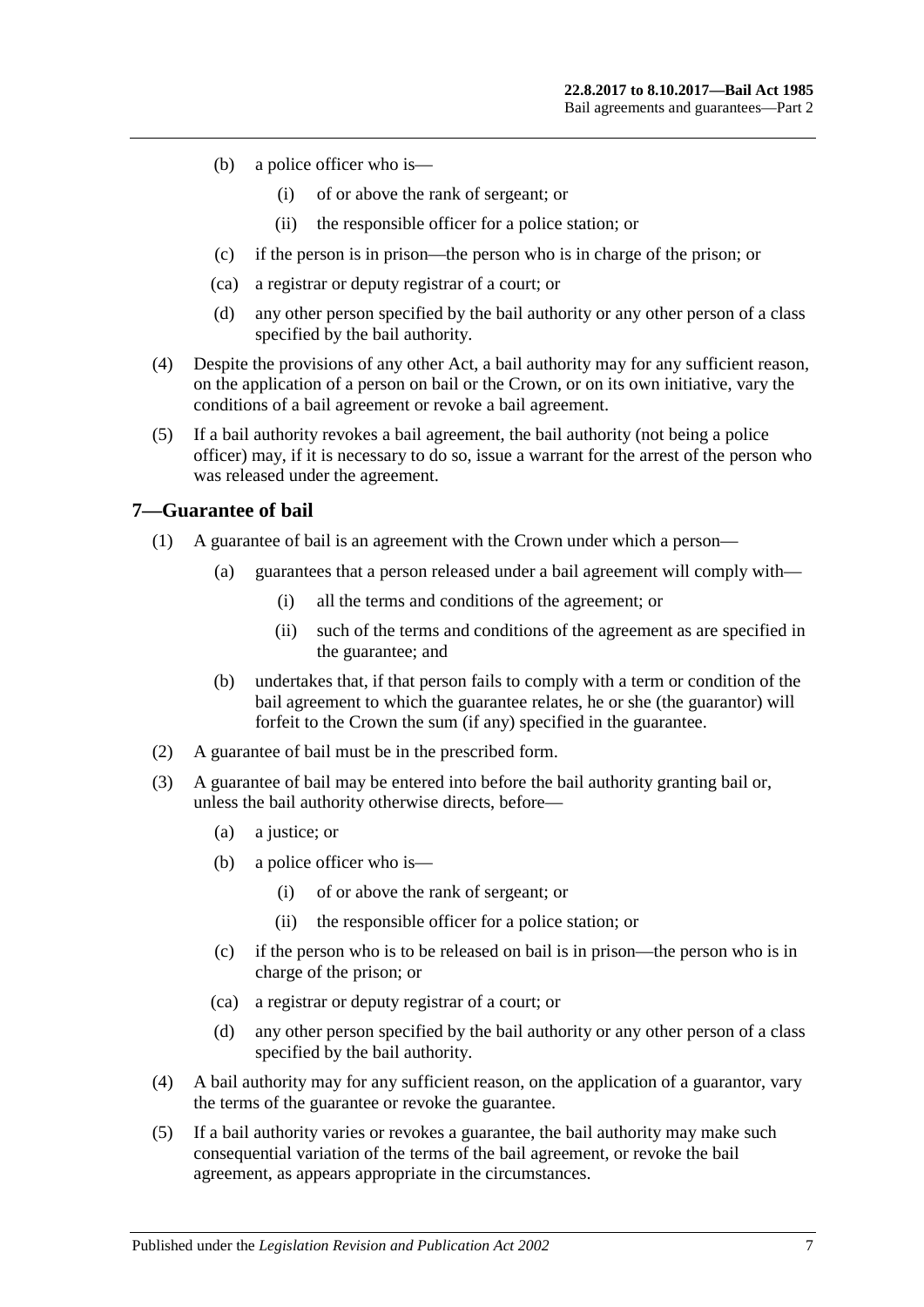- (b) a police officer who is—
	- (i) of or above the rank of sergeant; or
	- (ii) the responsible officer for a police station; or
- (c) if the person is in prison—the person who is in charge of the prison; or
- (ca) a registrar or deputy registrar of a court; or
- (d) any other person specified by the bail authority or any other person of a class specified by the bail authority.
- (4) Despite the provisions of any other Act, a bail authority may for any sufficient reason, on the application of a person on bail or the Crown, or on its own initiative, vary the conditions of a bail agreement or revoke a bail agreement.
- (5) If a bail authority revokes a bail agreement, the bail authority (not being a police officer) may, if it is necessary to do so, issue a warrant for the arrest of the person who was released under the agreement.

### <span id="page-6-0"></span>**7—Guarantee of bail**

- (1) A guarantee of bail is an agreement with the Crown under which a person—
	- (a) guarantees that a person released under a bail agreement will comply with—
		- (i) all the terms and conditions of the agreement; or
		- (ii) such of the terms and conditions of the agreement as are specified in the guarantee; and
	- (b) undertakes that, if that person fails to comply with a term or condition of the bail agreement to which the guarantee relates, he or she (the guarantor) will forfeit to the Crown the sum (if any) specified in the guarantee.
- (2) A guarantee of bail must be in the prescribed form.
- (3) A guarantee of bail may be entered into before the bail authority granting bail or, unless the bail authority otherwise directs, before—
	- (a) a justice; or
	- (b) a police officer who is—
		- (i) of or above the rank of sergeant; or
		- (ii) the responsible officer for a police station; or
	- (c) if the person who is to be released on bail is in prison—the person who is in charge of the prison; or
	- (ca) a registrar or deputy registrar of a court; or
	- (d) any other person specified by the bail authority or any other person of a class specified by the bail authority.
- (4) A bail authority may for any sufficient reason, on the application of a guarantor, vary the terms of the guarantee or revoke the guarantee.
- (5) If a bail authority varies or revokes a guarantee, the bail authority may make such consequential variation of the terms of the bail agreement, or revoke the bail agreement, as appears appropriate in the circumstances.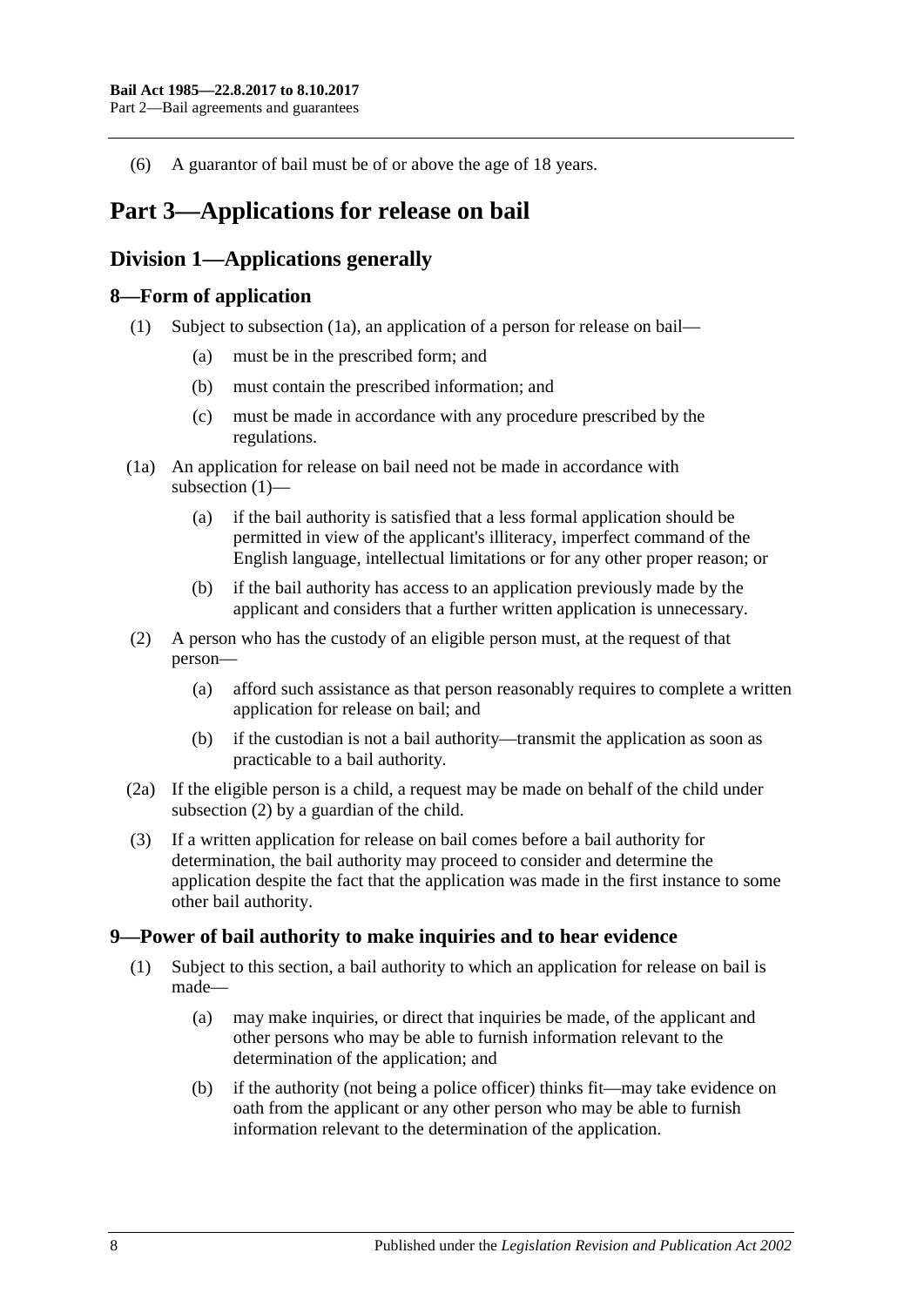(6) A guarantor of bail must be of or above the age of 18 years.

## <span id="page-7-0"></span>**Part 3—Applications for release on bail**

## <span id="page-7-1"></span>**Division 1—Applications generally**

## <span id="page-7-5"></span><span id="page-7-2"></span>**8—Form of application**

- (1) Subject to [subsection](#page-7-4) (1a), an application of a person for release on bail—
	- (a) must be in the prescribed form; and
	- (b) must contain the prescribed information; and
	- (c) must be made in accordance with any procedure prescribed by the regulations.
- <span id="page-7-4"></span>(1a) An application for release on bail need not be made in accordance with [subsection](#page-7-5) (1)—
	- (a) if the bail authority is satisfied that a less formal application should be permitted in view of the applicant's illiteracy, imperfect command of the English language, intellectual limitations or for any other proper reason; or
	- (b) if the bail authority has access to an application previously made by the applicant and considers that a further written application is unnecessary.
- <span id="page-7-6"></span>(2) A person who has the custody of an eligible person must, at the request of that person—
	- (a) afford such assistance as that person reasonably requires to complete a written application for release on bail; and
	- (b) if the custodian is not a bail authority—transmit the application as soon as practicable to a bail authority.
- (2a) If the eligible person is a child, a request may be made on behalf of the child under [subsection](#page-7-6) (2) by a guardian of the child.
- (3) If a written application for release on bail comes before a bail authority for determination, the bail authority may proceed to consider and determine the application despite the fact that the application was made in the first instance to some other bail authority.

## <span id="page-7-3"></span>**9—Power of bail authority to make inquiries and to hear evidence**

- <span id="page-7-7"></span>(1) Subject to this section, a bail authority to which an application for release on bail is made—
	- (a) may make inquiries, or direct that inquiries be made, of the applicant and other persons who may be able to furnish information relevant to the determination of the application; and
	- (b) if the authority (not being a police officer) thinks fit—may take evidence on oath from the applicant or any other person who may be able to furnish information relevant to the determination of the application.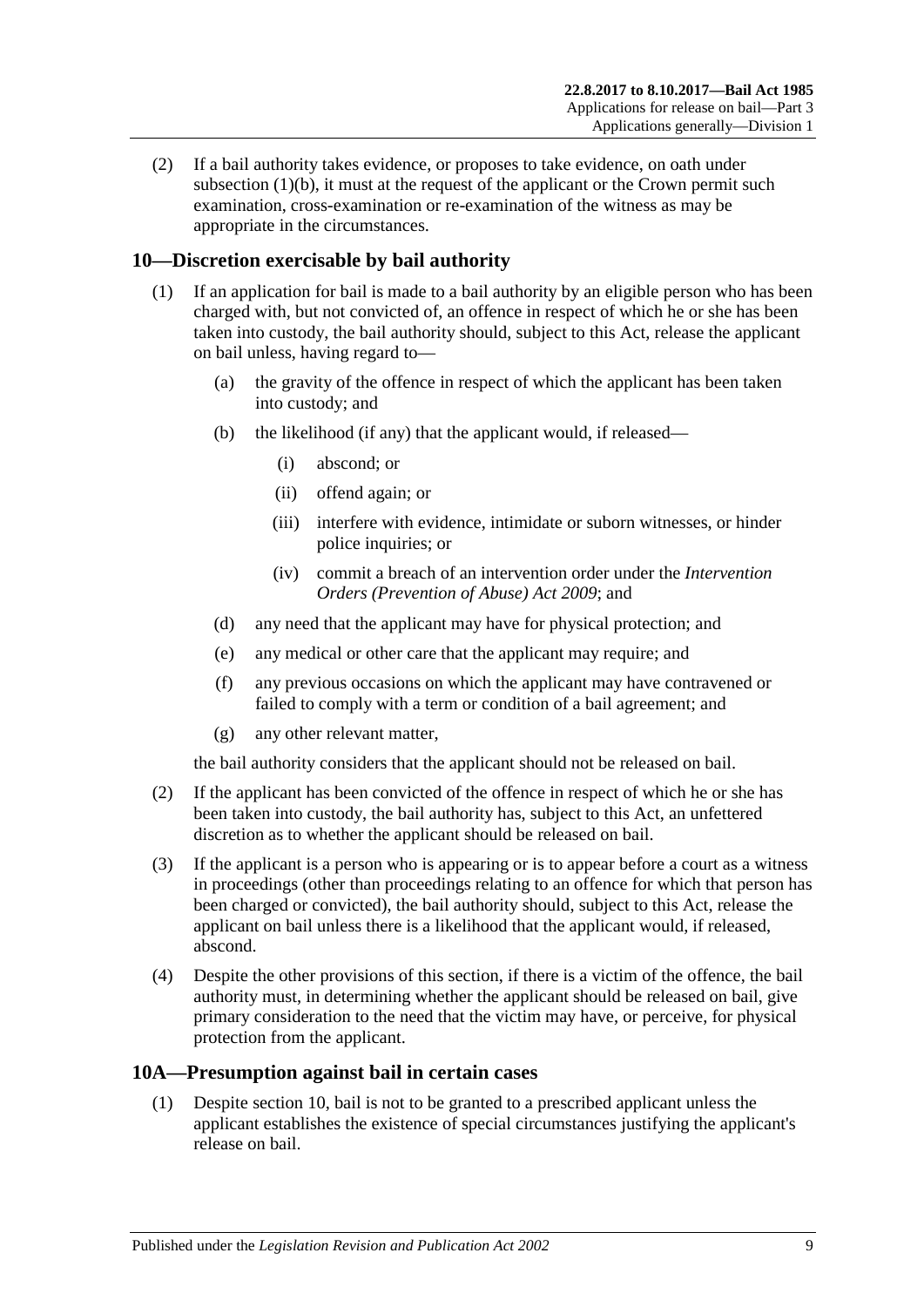(2) If a bail authority takes evidence, or proposes to take evidence, on oath under [subsection](#page-7-7)  $(1)(b)$ , it must at the request of the applicant or the Crown permit such examination, cross-examination or re-examination of the witness as may be appropriate in the circumstances.

## <span id="page-8-0"></span>**10—Discretion exercisable by bail authority**

- (1) If an application for bail is made to a bail authority by an eligible person who has been charged with, but not convicted of, an offence in respect of which he or she has been taken into custody, the bail authority should, subject to this Act, release the applicant on bail unless, having regard to—
	- (a) the gravity of the offence in respect of which the applicant has been taken into custody; and
	- (b) the likelihood (if any) that the applicant would, if released—
		- (i) abscond; or
		- (ii) offend again; or
		- (iii) interfere with evidence, intimidate or suborn witnesses, or hinder police inquiries; or
		- (iv) commit a breach of an intervention order under the *[Intervention](http://www.legislation.sa.gov.au/index.aspx?action=legref&type=act&legtitle=Intervention%20Orders%20(Prevention%20of%20Abuse)%20Act%202009)  [Orders \(Prevention of Abuse\) Act](http://www.legislation.sa.gov.au/index.aspx?action=legref&type=act&legtitle=Intervention%20Orders%20(Prevention%20of%20Abuse)%20Act%202009) 2009*; and
	- (d) any need that the applicant may have for physical protection; and
	- (e) any medical or other care that the applicant may require; and
	- (f) any previous occasions on which the applicant may have contravened or failed to comply with a term or condition of a bail agreement; and
	- (g) any other relevant matter,

the bail authority considers that the applicant should not be released on bail.

- (2) If the applicant has been convicted of the offence in respect of which he or she has been taken into custody, the bail authority has, subject to this Act, an unfettered discretion as to whether the applicant should be released on bail.
- (3) If the applicant is a person who is appearing or is to appear before a court as a witness in proceedings (other than proceedings relating to an offence for which that person has been charged or convicted), the bail authority should, subject to this Act, release the applicant on bail unless there is a likelihood that the applicant would, if released, abscond.
- (4) Despite the other provisions of this section, if there is a victim of the offence, the bail authority must, in determining whether the applicant should be released on bail, give primary consideration to the need that the victim may have, or perceive, for physical protection from the applicant.

## <span id="page-8-2"></span><span id="page-8-1"></span>**10A—Presumption against bail in certain cases**

(1) Despite [section](#page-8-0) 10, bail is not to be granted to a prescribed applicant unless the applicant establishes the existence of special circumstances justifying the applicant's release on bail.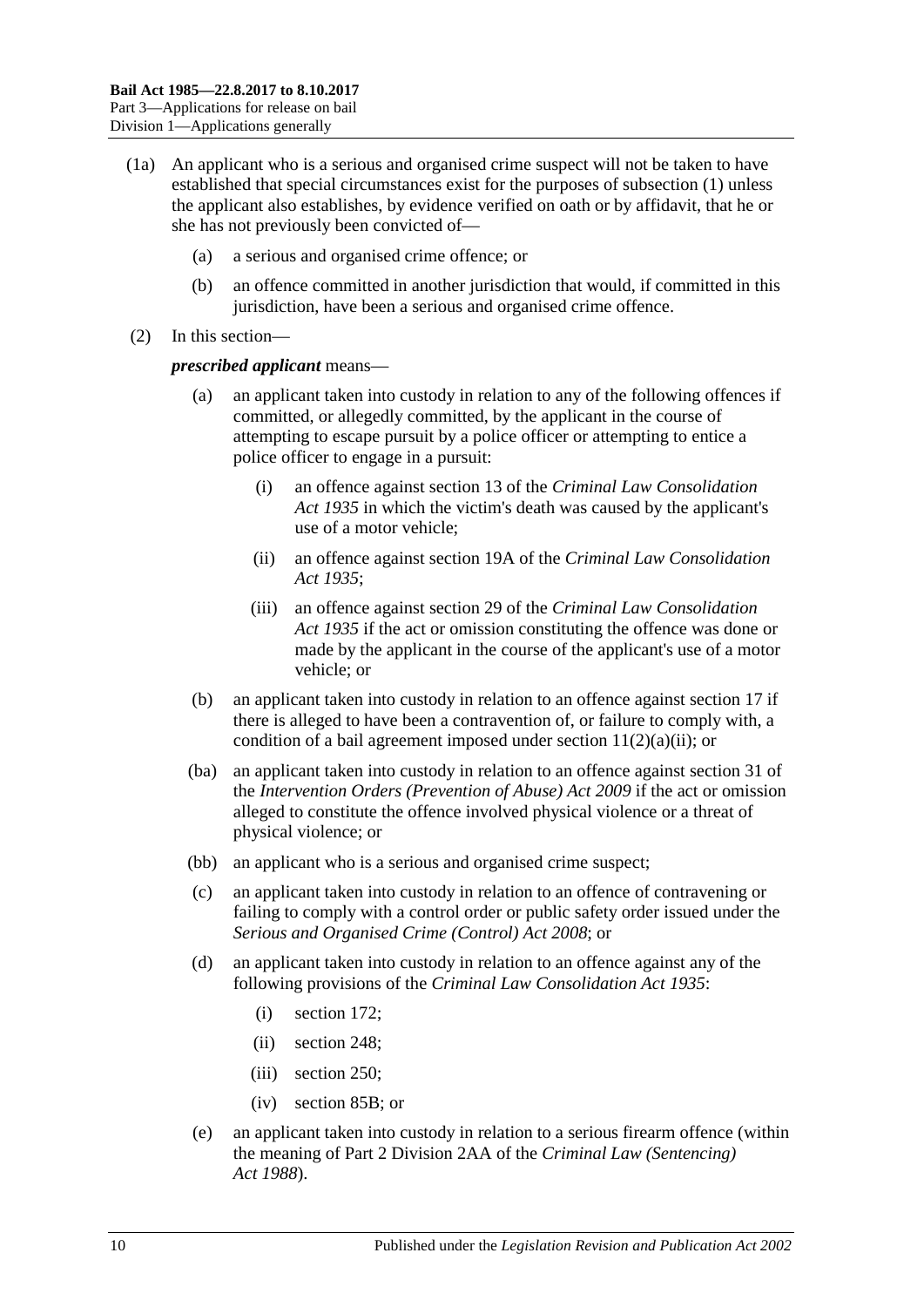- (1a) An applicant who is a serious and organised crime suspect will not be taken to have established that special circumstances exist for the purposes of [subsection](#page-8-2) (1) unless the applicant also establishes, by evidence verified on oath or by affidavit, that he or she has not previously been convicted of—
	- (a) a serious and organised crime offence; or
	- (b) an offence committed in another jurisdiction that would, if committed in this jurisdiction, have been a serious and organised crime offence.
- (2) In this section—

#### *prescribed applicant* means—

- an applicant taken into custody in relation to any of the following offences if committed, or allegedly committed, by the applicant in the course of attempting to escape pursuit by a police officer or attempting to entice a police officer to engage in a pursuit:
	- (i) an offence against section 13 of the *[Criminal Law Consolidation](http://www.legislation.sa.gov.au/index.aspx?action=legref&type=act&legtitle=Criminal%20Law%20Consolidation%20Act%201935)  Act [1935](http://www.legislation.sa.gov.au/index.aspx?action=legref&type=act&legtitle=Criminal%20Law%20Consolidation%20Act%201935)* in which the victim's death was caused by the applicant's use of a motor vehicle;
	- (ii) an offence against section 19A of the *[Criminal Law Consolidation](http://www.legislation.sa.gov.au/index.aspx?action=legref&type=act&legtitle=Criminal%20Law%20Consolidation%20Act%201935)  Act [1935](http://www.legislation.sa.gov.au/index.aspx?action=legref&type=act&legtitle=Criminal%20Law%20Consolidation%20Act%201935)*;
	- (iii) an offence against section 29 of the *[Criminal Law Consolidation](http://www.legislation.sa.gov.au/index.aspx?action=legref&type=act&legtitle=Criminal%20Law%20Consolidation%20Act%201935)  Act [1935](http://www.legislation.sa.gov.au/index.aspx?action=legref&type=act&legtitle=Criminal%20Law%20Consolidation%20Act%201935)* if the act or omission constituting the offence was done or made by the applicant in the course of the applicant's use of a motor vehicle; or
- (b) an applicant taken into custody in relation to an offence against [section](#page-18-1) 17 if there is alleged to have been a contravention of, or failure to comply with, a condition of a bail agreement imposed under section  $11(2)(a)(ii)$ ; or
- (ba) an applicant taken into custody in relation to an offence against section 31 of the *[Intervention Orders \(Prevention of Abuse\) Act](http://www.legislation.sa.gov.au/index.aspx?action=legref&type=act&legtitle=Intervention%20Orders%20(Prevention%20of%20Abuse)%20Act%202009) 2009* if the act or omission alleged to constitute the offence involved physical violence or a threat of physical violence; or
- (bb) an applicant who is a serious and organised crime suspect;
- (c) an applicant taken into custody in relation to an offence of contravening or failing to comply with a control order or public safety order issued under the *[Serious and Organised Crime \(Control\) Act](http://www.legislation.sa.gov.au/index.aspx?action=legref&type=act&legtitle=Serious%20and%20Organised%20Crime%20(Control)%20Act%202008) 2008*; or
- (d) an applicant taken into custody in relation to an offence against any of the following provisions of the *[Criminal Law Consolidation Act](http://www.legislation.sa.gov.au/index.aspx?action=legref&type=act&legtitle=Criminal%20Law%20Consolidation%20Act%201935) 1935*:
	- (i) section 172;
	- (ii) section 248;
	- (iii) section 250;
	- (iv) section 85B; or
- (e) an applicant taken into custody in relation to a serious firearm offence (within the meaning of Part 2 Division 2AA of the *[Criminal Law \(Sentencing\)](http://www.legislation.sa.gov.au/index.aspx?action=legref&type=act&legtitle=Criminal%20Law%20(Sentencing)%20Act%201988)  Act [1988](http://www.legislation.sa.gov.au/index.aspx?action=legref&type=act&legtitle=Criminal%20Law%20(Sentencing)%20Act%201988)*).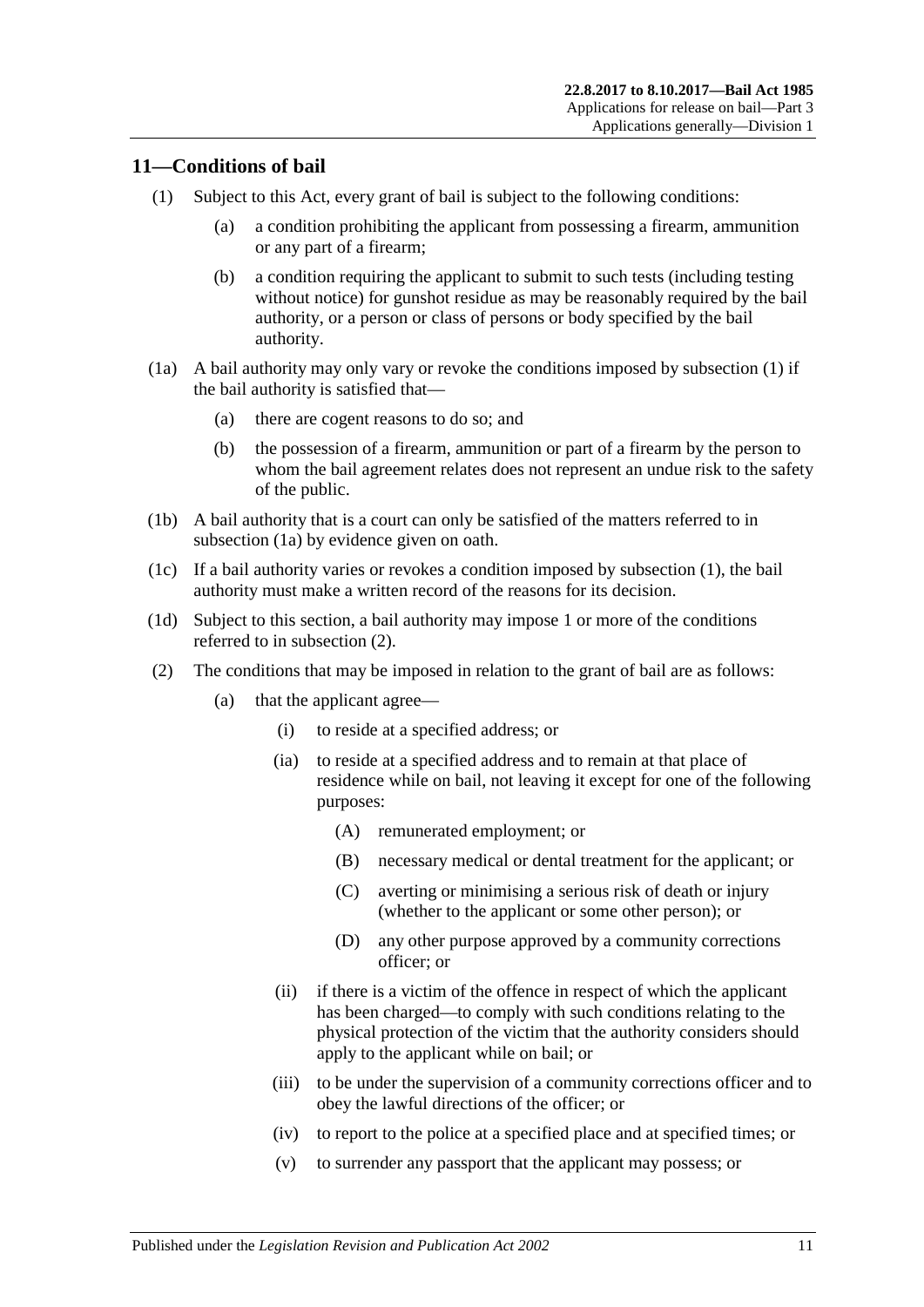## <span id="page-10-2"></span><span id="page-10-0"></span>**11—Conditions of bail**

- <span id="page-10-7"></span>(1) Subject to this Act, every grant of bail is subject to the following conditions:
	- (a) a condition prohibiting the applicant from possessing a firearm, ammunition or any part of a firearm;
	- (b) a condition requiring the applicant to submit to such tests (including testing without notice) for gunshot residue as may be reasonably required by the bail authority, or a person or class of persons or body specified by the bail authority.
- <span id="page-10-3"></span>(1a) A bail authority may only vary or revoke the conditions imposed by [subsection](#page-10-2) (1) if the bail authority is satisfied that—
	- (a) there are cogent reasons to do so; and
	- (b) the possession of a firearm, ammunition or part of a firearm by the person to whom the bail agreement relates does not represent an undue risk to the safety of the public.
- (1b) A bail authority that is a court can only be satisfied of the matters referred to in [subsection](#page-10-3) (1a) by evidence given on oath.
- (1c) If a bail authority varies or revokes a condition imposed by [subsection](#page-10-2) (1), the bail authority must make a written record of the reasons for its decision.
- (1d) Subject to this section, a bail authority may impose 1 or more of the conditions referred to in [subsection](#page-10-4) (2).
- <span id="page-10-6"></span><span id="page-10-5"></span><span id="page-10-4"></span><span id="page-10-1"></span>(2) The conditions that may be imposed in relation to the grant of bail are as follows:
	- (a) that the applicant agree—
		- (i) to reside at a specified address; or
		- (ia) to reside at a specified address and to remain at that place of residence while on bail, not leaving it except for one of the following purposes:
			- (A) remunerated employment; or
			- (B) necessary medical or dental treatment for the applicant; or
			- (C) averting or minimising a serious risk of death or injury (whether to the applicant or some other person); or
			- (D) any other purpose approved by a community corrections officer; or
		- (ii) if there is a victim of the offence in respect of which the applicant has been charged—to comply with such conditions relating to the physical protection of the victim that the authority considers should apply to the applicant while on bail; or
		- (iii) to be under the supervision of a community corrections officer and to obey the lawful directions of the officer; or
		- (iv) to report to the police at a specified place and at specified times; or
		- (v) to surrender any passport that the applicant may possess; or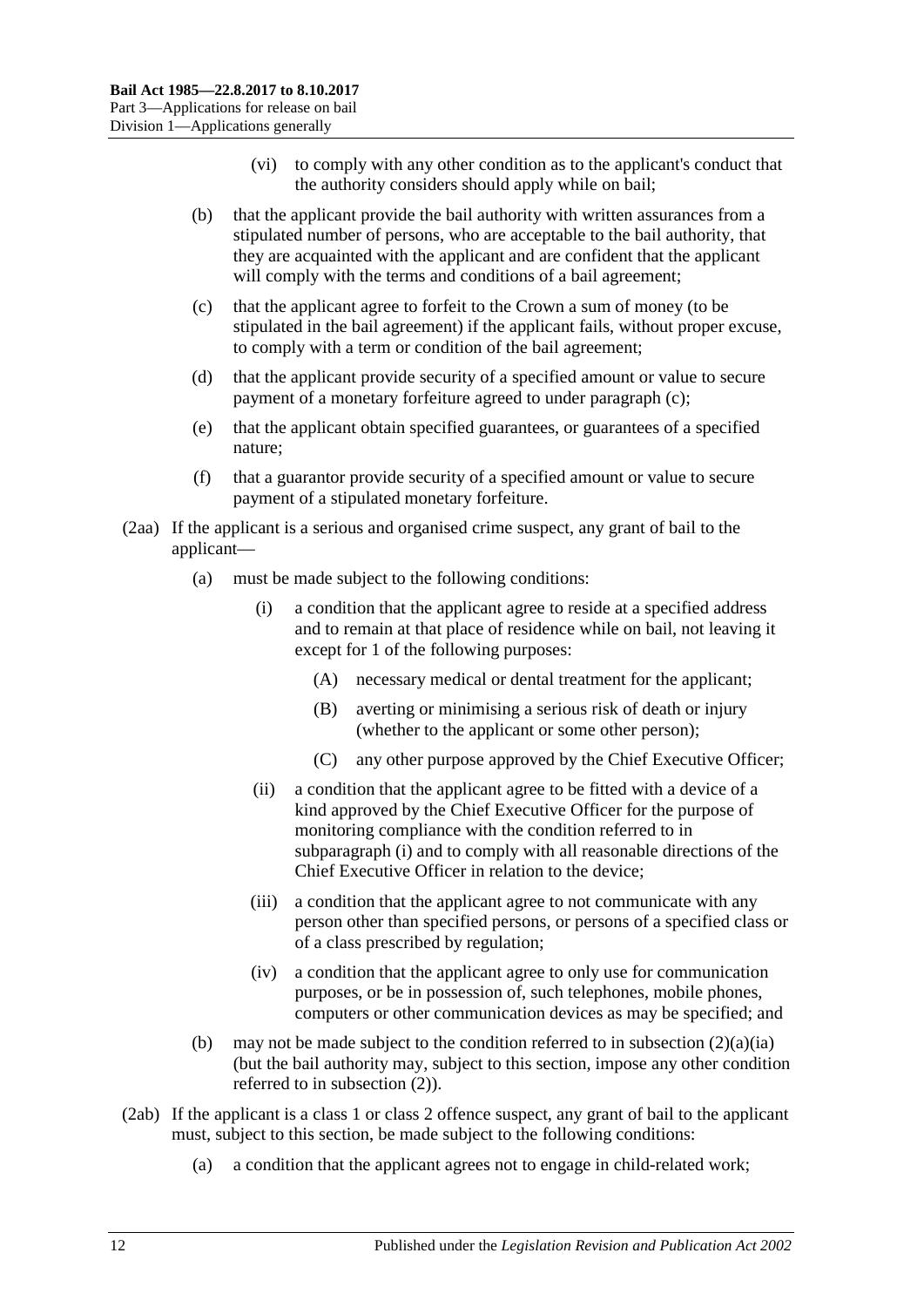- (vi) to comply with any other condition as to the applicant's conduct that the authority considers should apply while on bail;
- (b) that the applicant provide the bail authority with written assurances from a stipulated number of persons, who are acceptable to the bail authority, that they are acquainted with the applicant and are confident that the applicant will comply with the terms and conditions of a bail agreement;
- <span id="page-11-0"></span>(c) that the applicant agree to forfeit to the Crown a sum of money (to be stipulated in the bail agreement) if the applicant fails, without proper excuse, to comply with a term or condition of the bail agreement;
- (d) that the applicant provide security of a specified amount or value to secure payment of a monetary forfeiture agreed to under [paragraph](#page-11-0) (c);
- (e) that the applicant obtain specified guarantees, or guarantees of a specified nature;
- (f) that a guarantor provide security of a specified amount or value to secure payment of a stipulated monetary forfeiture.
- <span id="page-11-1"></span>(2aa) If the applicant is a serious and organised crime suspect, any grant of bail to the applicant—
	- (a) must be made subject to the following conditions:
		- (i) a condition that the applicant agree to reside at a specified address and to remain at that place of residence while on bail, not leaving it except for 1 of the following purposes:
			- (A) necessary medical or dental treatment for the applicant;
			- (B) averting or minimising a serious risk of death or injury (whether to the applicant or some other person);
			- (C) any other purpose approved by the Chief Executive Officer;
		- (ii) a condition that the applicant agree to be fitted with a device of a kind approved by the Chief Executive Officer for the purpose of monitoring compliance with the condition referred to in [subparagraph](#page-11-1) (i) and to comply with all reasonable directions of the Chief Executive Officer in relation to the device;
		- (iii) a condition that the applicant agree to not communicate with any person other than specified persons, or persons of a specified class or of a class prescribed by regulation;
		- (iv) a condition that the applicant agree to only use for communication purposes, or be in possession of, such telephones, mobile phones, computers or other communication devices as may be specified; and
	- (b) may not be made subject to the condition referred to in [subsection](#page-10-5)  $(2)(a)(ia)$ (but the bail authority may, subject to this section, impose any other condition referred to in [subsection](#page-10-4) (2)).
- <span id="page-11-2"></span>(2ab) If the applicant is a class 1 or class 2 offence suspect, any grant of bail to the applicant must, subject to this section, be made subject to the following conditions:
	- (a) a condition that the applicant agrees not to engage in child-related work;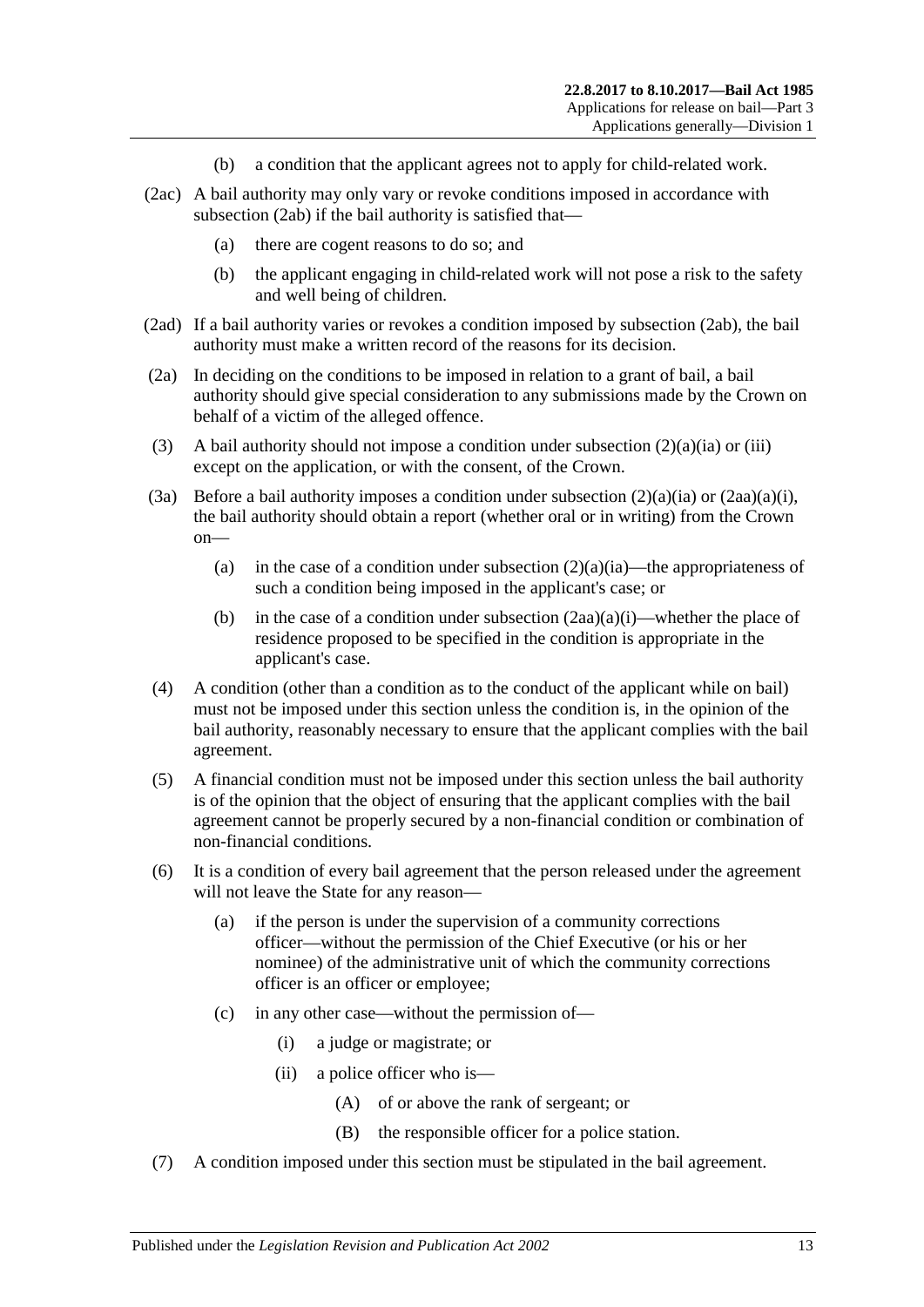- (b) a condition that the applicant agrees not to apply for child-related work.
- (2ac) A bail authority may only vary or revoke conditions imposed in accordance with [subsection](#page-11-2) (2ab) if the bail authority is satisfied that—
	- (a) there are cogent reasons to do so; and
	- (b) the applicant engaging in child-related work will not pose a risk to the safety and well being of children.
- (2ad) If a bail authority varies or revokes a condition imposed by [subsection](#page-11-2) (2ab), the bail authority must make a written record of the reasons for its decision.
- (2a) In deciding on the conditions to be imposed in relation to a grant of bail, a bail authority should give special consideration to any submissions made by the Crown on behalf of a victim of the alleged offence.
- (3) A bail authority should not impose a condition under [subsection](#page-10-5)  $(2)(a)(ia)$  or [\(iii\)](#page-10-6) except on the application, or with the consent, of the Crown.
- (3a) Before a bail authority imposes a condition under [subsection](#page-10-5)  $(2)(a)(ia)$  or  $(2aa)(a)(i)$ , the bail authority should obtain a report (whether oral or in writing) from the Crown on
	- (a) in the case of a condition under [subsection](#page-10-5)  $(2)(a)(ia)$ —the appropriateness of such a condition being imposed in the applicant's case; or
	- (b) in the case of a condition under [subsection](#page-11-1)  $(2aa)(a)(i)$ —whether the place of residence proposed to be specified in the condition is appropriate in the applicant's case.
- (4) A condition (other than a condition as to the conduct of the applicant while on bail) must not be imposed under this section unless the condition is, in the opinion of the bail authority, reasonably necessary to ensure that the applicant complies with the bail agreement.
- (5) A financial condition must not be imposed under this section unless the bail authority is of the opinion that the object of ensuring that the applicant complies with the bail agreement cannot be properly secured by a non-financial condition or combination of non-financial conditions.
- (6) It is a condition of every bail agreement that the person released under the agreement will not leave the State for any reason—
	- (a) if the person is under the supervision of a community corrections officer—without the permission of the Chief Executive (or his or her nominee) of the administrative unit of which the community corrections officer is an officer or employee;
	- (c) in any other case—without the permission of—
		- (i) a judge or magistrate; or
		- (ii) a police officer who is—
			- (A) of or above the rank of sergeant; or
			- (B) the responsible officer for a police station.
- (7) A condition imposed under this section must be stipulated in the bail agreement.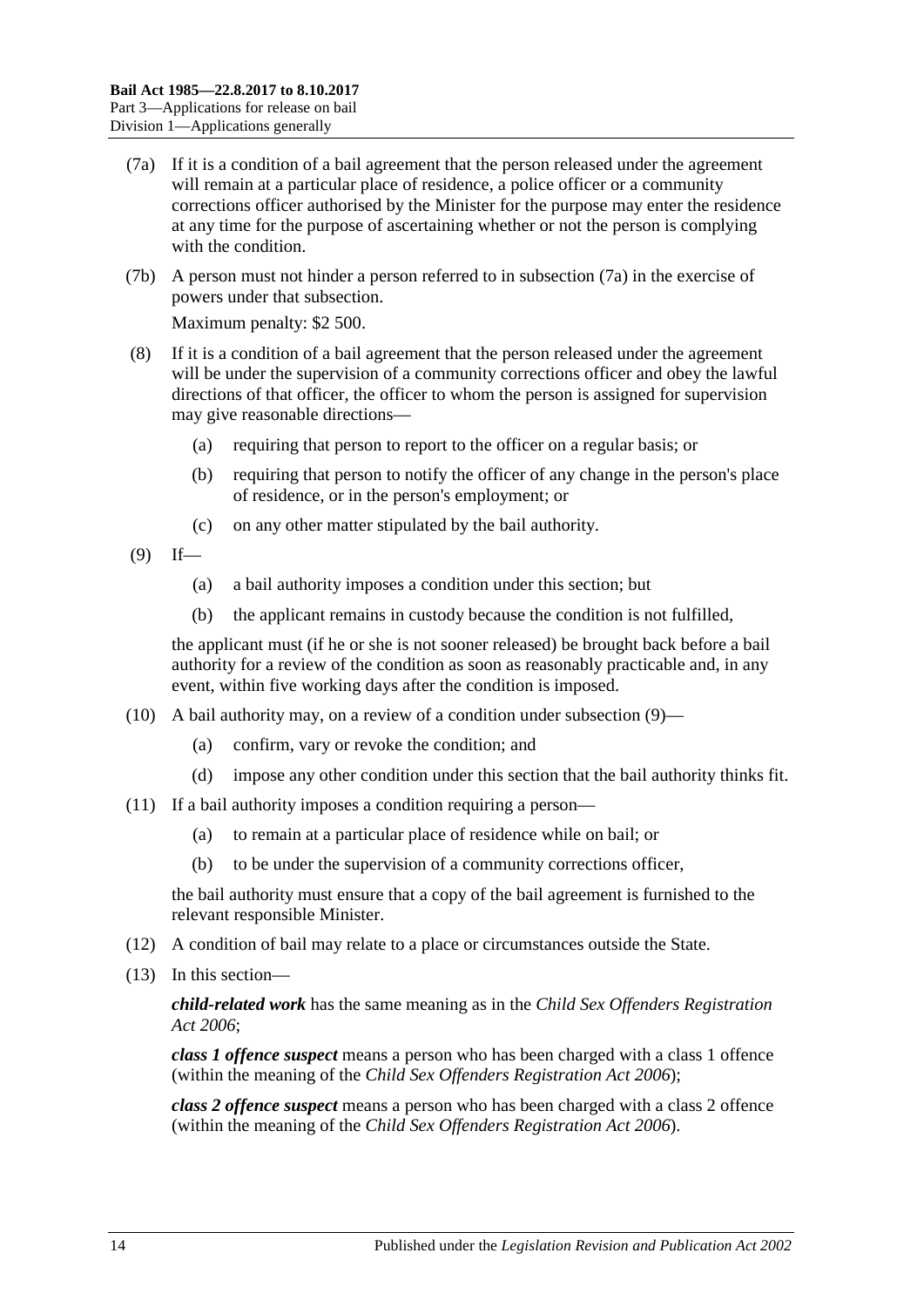- <span id="page-13-0"></span>(7a) If it is a condition of a bail agreement that the person released under the agreement will remain at a particular place of residence, a police officer or a community corrections officer authorised by the Minister for the purpose may enter the residence at any time for the purpose of ascertaining whether or not the person is complying with the condition.
- (7b) A person must not hinder a person referred to in [subsection](#page-13-0) (7a) in the exercise of powers under that subsection.

Maximum penalty: \$2 500.

- (8) If it is a condition of a bail agreement that the person released under the agreement will be under the supervision of a community corrections officer and obey the lawful directions of that officer, the officer to whom the person is assigned for supervision may give reasonable directions—
	- (a) requiring that person to report to the officer on a regular basis; or
	- (b) requiring that person to notify the officer of any change in the person's place of residence, or in the person's employment; or
	- (c) on any other matter stipulated by the bail authority.
- <span id="page-13-1"></span> $(9)$  If—
	- (a) a bail authority imposes a condition under this section; but
	- (b) the applicant remains in custody because the condition is not fulfilled,

the applicant must (if he or she is not sooner released) be brought back before a bail authority for a review of the condition as soon as reasonably practicable and, in any event, within five working days after the condition is imposed.

- (10) A bail authority may, on a review of a condition under [subsection](#page-13-1) (9)—
	- (a) confirm, vary or revoke the condition; and
	- (d) impose any other condition under this section that the bail authority thinks fit.
- (11) If a bail authority imposes a condition requiring a person—
	- (a) to remain at a particular place of residence while on bail; or
	- (b) to be under the supervision of a community corrections officer,

the bail authority must ensure that a copy of the bail agreement is furnished to the relevant responsible Minister.

- (12) A condition of bail may relate to a place or circumstances outside the State.
- (13) In this section—

*child-related work* has the same meaning as in the *[Child Sex Offenders Registration](http://www.legislation.sa.gov.au/index.aspx?action=legref&type=act&legtitle=Child%20Sex%20Offenders%20Registration%20Act%202006)  Act [2006](http://www.legislation.sa.gov.au/index.aspx?action=legref&type=act&legtitle=Child%20Sex%20Offenders%20Registration%20Act%202006)*;

*class 1 offence suspect* means a person who has been charged with a class 1 offence (within the meaning of the *[Child Sex Offenders Registration Act](http://www.legislation.sa.gov.au/index.aspx?action=legref&type=act&legtitle=Child%20Sex%20Offenders%20Registration%20Act%202006) 2006*);

*class 2 offence suspect* means a person who has been charged with a class 2 offence (within the meaning of the *[Child Sex Offenders Registration Act](http://www.legislation.sa.gov.au/index.aspx?action=legref&type=act&legtitle=Child%20Sex%20Offenders%20Registration%20Act%202006) 2006*).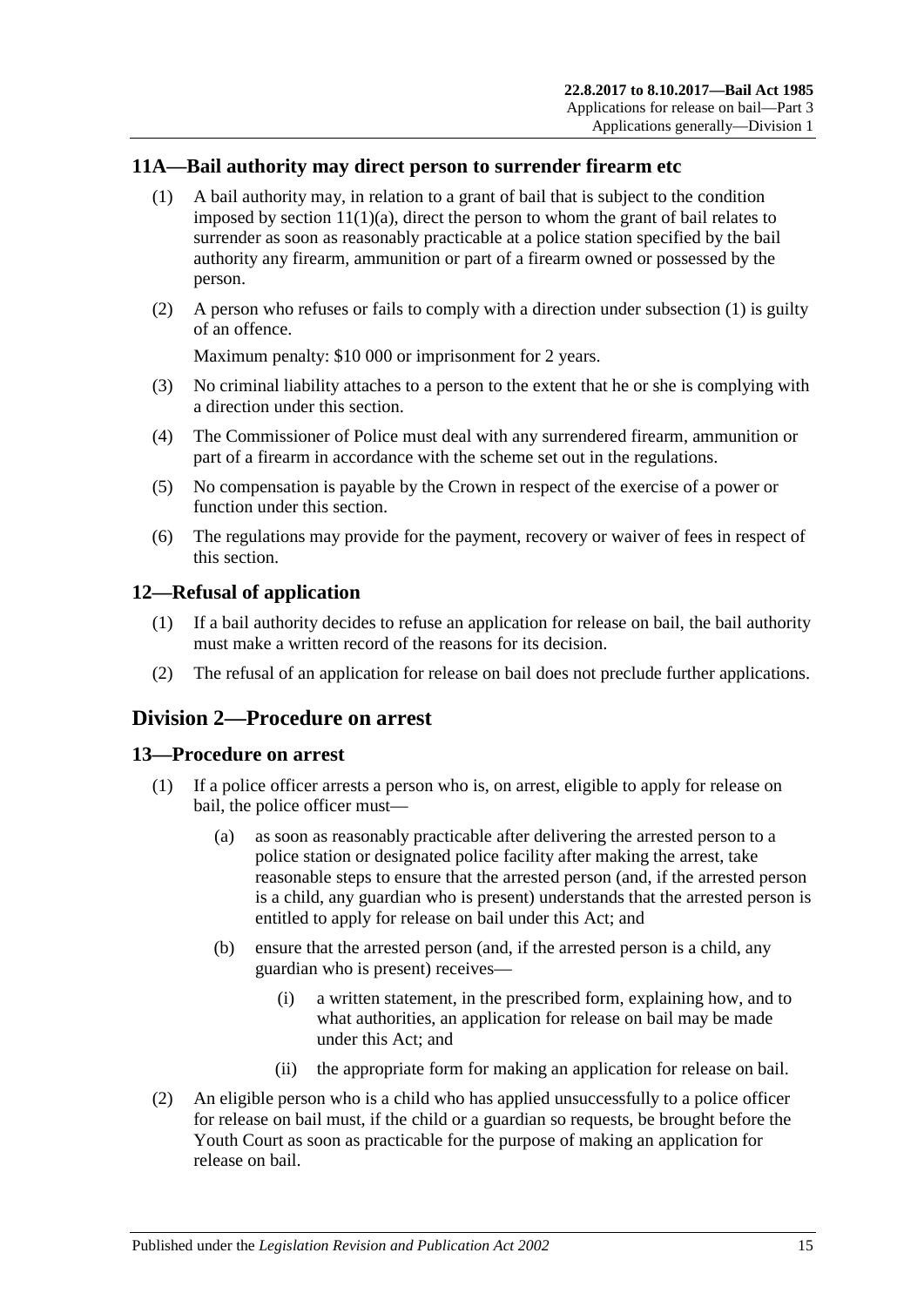## <span id="page-14-4"></span><span id="page-14-0"></span>**11A—Bail authority may direct person to surrender firearm etc**

- (1) A bail authority may, in relation to a grant of bail that is subject to the condition imposed by section  $11(1)(a)$ , direct the person to whom the grant of bail relates to surrender as soon as reasonably practicable at a police station specified by the bail authority any firearm, ammunition or part of a firearm owned or possessed by the person.
- (2) A person who refuses or fails to comply with a direction under [subsection](#page-14-4) (1) is guilty of an offence.

Maximum penalty: \$10 000 or imprisonment for 2 years.

- (3) No criminal liability attaches to a person to the extent that he or she is complying with a direction under this section.
- (4) The Commissioner of Police must deal with any surrendered firearm, ammunition or part of a firearm in accordance with the scheme set out in the regulations.
- (5) No compensation is payable by the Crown in respect of the exercise of a power or function under this section.
- (6) The regulations may provide for the payment, recovery or waiver of fees in respect of this section.

## <span id="page-14-1"></span>**12—Refusal of application**

- (1) If a bail authority decides to refuse an application for release on bail, the bail authority must make a written record of the reasons for its decision.
- (2) The refusal of an application for release on bail does not preclude further applications.

## <span id="page-14-2"></span>**Division 2—Procedure on arrest**

#### <span id="page-14-3"></span>**13—Procedure on arrest**

- (1) If a police officer arrests a person who is, on arrest, eligible to apply for release on bail, the police officer must—
	- (a) as soon as reasonably practicable after delivering the arrested person to a police station or designated police facility after making the arrest, take reasonable steps to ensure that the arrested person (and, if the arrested person is a child, any guardian who is present) understands that the arrested person is entitled to apply for release on bail under this Act; and
	- (b) ensure that the arrested person (and, if the arrested person is a child, any guardian who is present) receives—
		- (i) a written statement, in the prescribed form, explaining how, and to what authorities, an application for release on bail may be made under this Act; and
		- (ii) the appropriate form for making an application for release on bail.
- (2) An eligible person who is a child who has applied unsuccessfully to a police officer for release on bail must, if the child or a guardian so requests, be brought before the Youth Court as soon as practicable for the purpose of making an application for release on bail.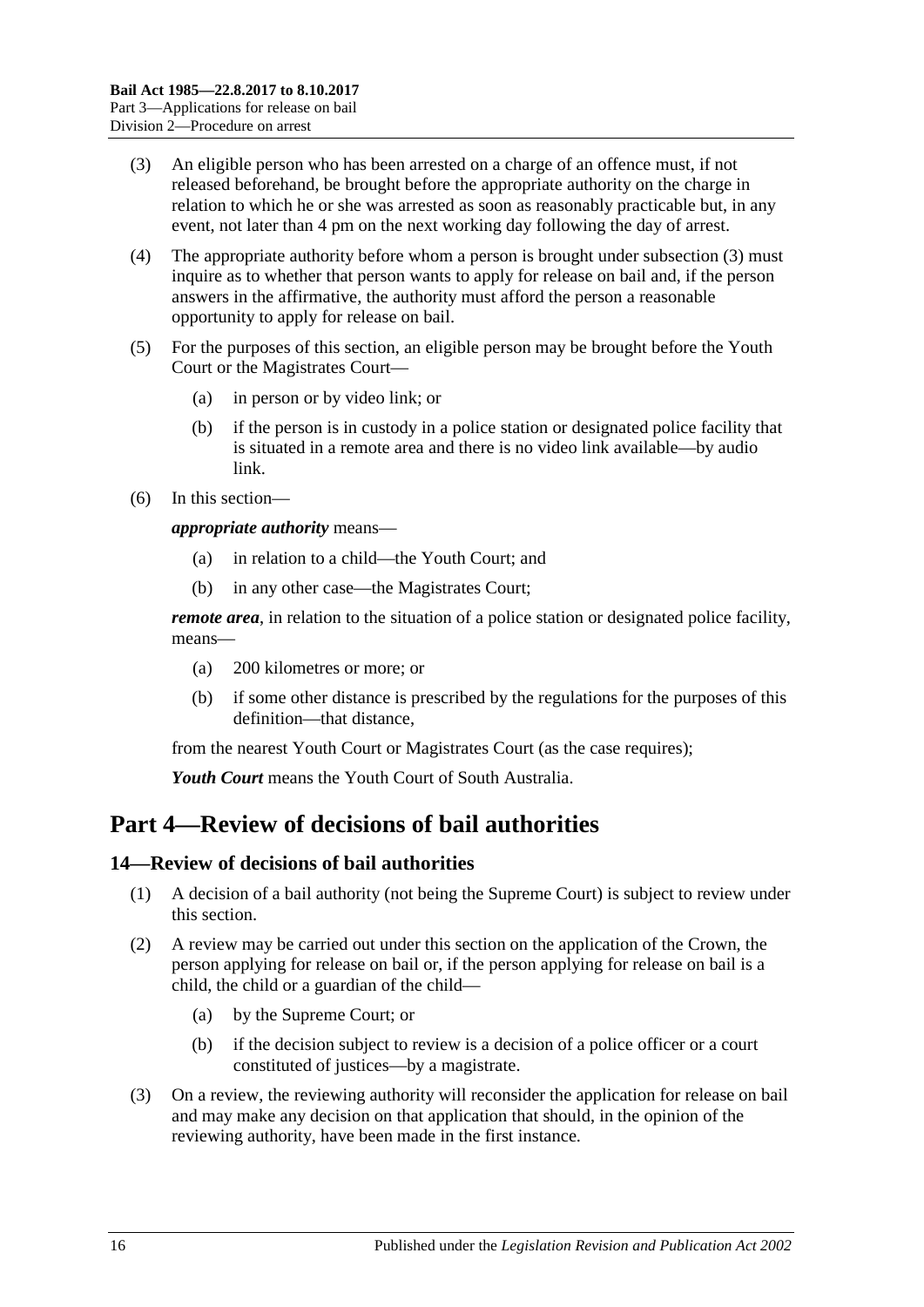- <span id="page-15-2"></span>(3) An eligible person who has been arrested on a charge of an offence must, if not released beforehand, be brought before the appropriate authority on the charge in relation to which he or she was arrested as soon as reasonably practicable but, in any event, not later than 4 pm on the next working day following the day of arrest.
- (4) The appropriate authority before whom a person is brought under [subsection](#page-15-2) (3) must inquire as to whether that person wants to apply for release on bail and, if the person answers in the affirmative, the authority must afford the person a reasonable opportunity to apply for release on bail.
- (5) For the purposes of this section, an eligible person may be brought before the Youth Court or the Magistrates Court—
	- (a) in person or by video link; or
	- (b) if the person is in custody in a police station or designated police facility that is situated in a remote area and there is no video link available—by audio link.
- (6) In this section—

*appropriate authority* means—

- (a) in relation to a child—the Youth Court; and
- (b) in any other case—the Magistrates Court;

*remote area*, in relation to the situation of a police station or designated police facility, means—

- (a) 200 kilometres or more; or
- (b) if some other distance is prescribed by the regulations for the purposes of this definition—that distance,

from the nearest Youth Court or Magistrates Court (as the case requires);

*Youth Court* means the Youth Court of South Australia.

## <span id="page-15-0"></span>**Part 4—Review of decisions of bail authorities**

## <span id="page-15-1"></span>**14—Review of decisions of bail authorities**

- (1) A decision of a bail authority (not being the Supreme Court) is subject to review under this section.
- (2) A review may be carried out under this section on the application of the Crown, the person applying for release on bail or, if the person applying for release on bail is a child, the child or a guardian of the child—
	- (a) by the Supreme Court; or
	- (b) if the decision subject to review is a decision of a police officer or a court constituted of justices—by a magistrate.
- (3) On a review, the reviewing authority will reconsider the application for release on bail and may make any decision on that application that should, in the opinion of the reviewing authority, have been made in the first instance.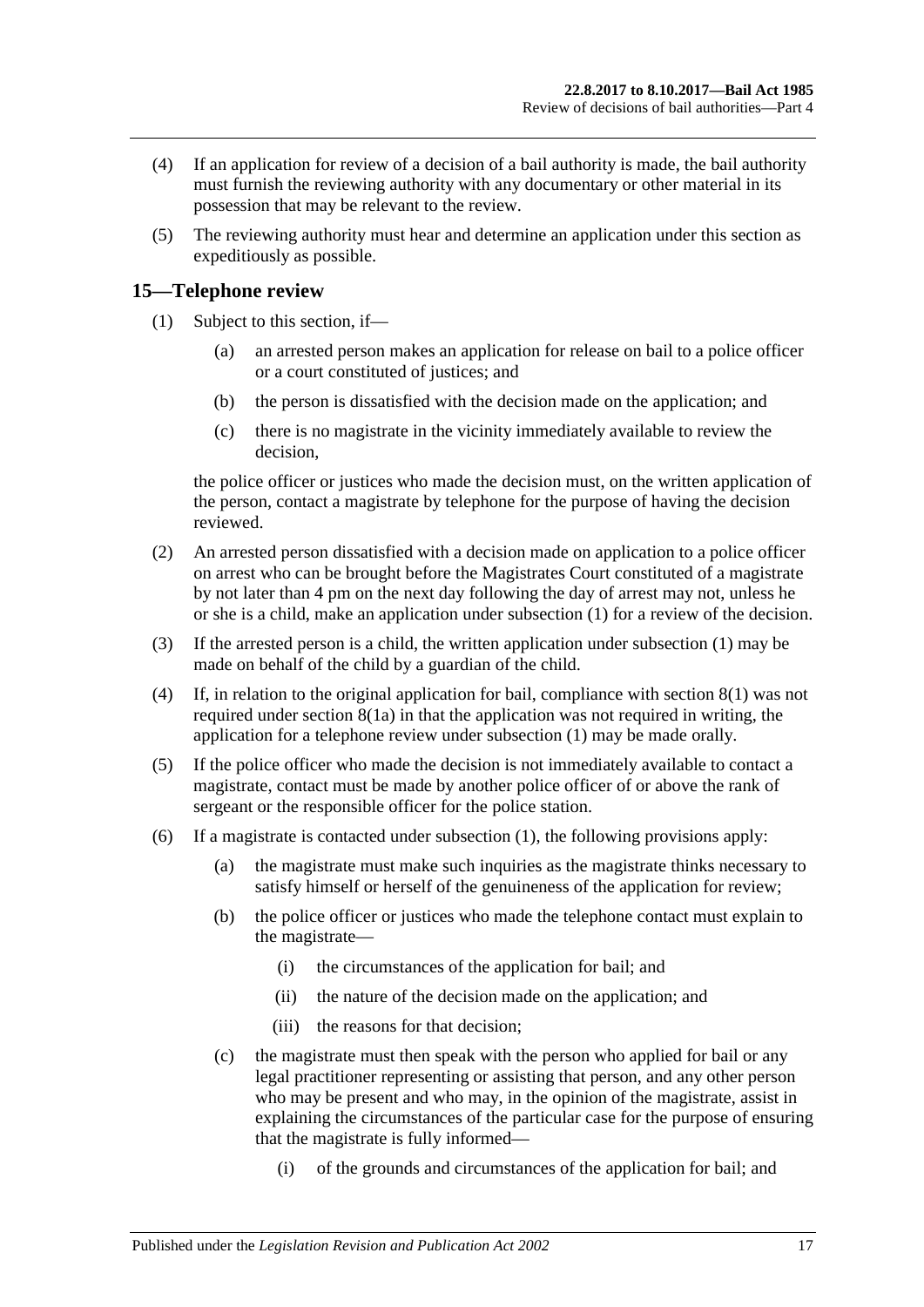- (4) If an application for review of a decision of a bail authority is made, the bail authority must furnish the reviewing authority with any documentary or other material in its possession that may be relevant to the review.
- (5) The reviewing authority must hear and determine an application under this section as expeditiously as possible.

### <span id="page-16-1"></span><span id="page-16-0"></span>**15—Telephone review**

- (1) Subject to this section, if—
	- (a) an arrested person makes an application for release on bail to a police officer or a court constituted of justices; and
	- (b) the person is dissatisfied with the decision made on the application; and
	- (c) there is no magistrate in the vicinity immediately available to review the decision,

the police officer or justices who made the decision must, on the written application of the person, contact a magistrate by telephone for the purpose of having the decision reviewed.

- <span id="page-16-2"></span>(2) An arrested person dissatisfied with a decision made on application to a police officer on arrest who can be brought before the Magistrates Court constituted of a magistrate by not later than 4 pm on the next day following the day of arrest may not, unless he or she is a child, make an application under [subsection](#page-16-1) (1) for a review of the decision.
- (3) If the arrested person is a child, the written application under [subsection](#page-16-1) (1) may be made on behalf of the child by a guardian of the child.
- (4) If, in relation to the original application for bail, compliance with [section](#page-7-5) 8(1) was not required under [section](#page-7-4) 8(1a) in that the application was not required in writing, the application for a telephone review under [subsection](#page-16-1) (1) may be made orally.
- (5) If the police officer who made the decision is not immediately available to contact a magistrate, contact must be made by another police officer of or above the rank of sergeant or the responsible officer for the police station.
- (6) If a magistrate is contacted under [subsection](#page-16-1) (1), the following provisions apply:
	- (a) the magistrate must make such inquiries as the magistrate thinks necessary to satisfy himself or herself of the genuineness of the application for review;
	- (b) the police officer or justices who made the telephone contact must explain to the magistrate—
		- (i) the circumstances of the application for bail; and
		- (ii) the nature of the decision made on the application; and
		- (iii) the reasons for that decision;
	- (c) the magistrate must then speak with the person who applied for bail or any legal practitioner representing or assisting that person, and any other person who may be present and who may, in the opinion of the magistrate, assist in explaining the circumstances of the particular case for the purpose of ensuring that the magistrate is fully informed—
		- (i) of the grounds and circumstances of the application for bail; and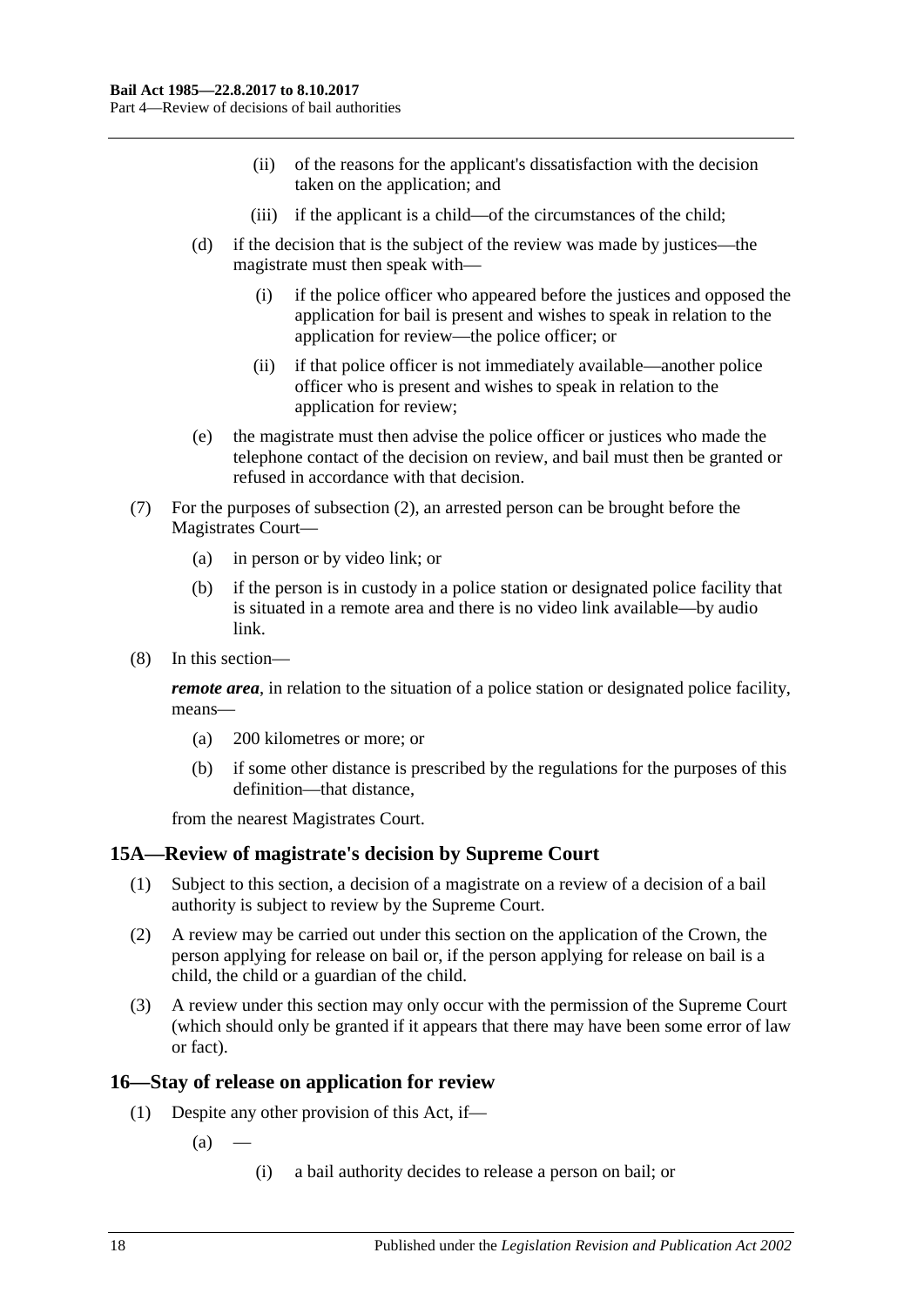- (ii) of the reasons for the applicant's dissatisfaction with the decision taken on the application; and
- (iii) if the applicant is a child—of the circumstances of the child;
- (d) if the decision that is the subject of the review was made by justices—the magistrate must then speak with—
	- (i) if the police officer who appeared before the justices and opposed the application for bail is present and wishes to speak in relation to the application for review—the police officer; or
	- (ii) if that police officer is not immediately available—another police officer who is present and wishes to speak in relation to the application for review;
- (e) the magistrate must then advise the police officer or justices who made the telephone contact of the decision on review, and bail must then be granted or refused in accordance with that decision.
- (7) For the purposes of [subsection](#page-16-2) (2), an arrested person can be brought before the Magistrates Court—
	- (a) in person or by video link; or
	- (b) if the person is in custody in a police station or designated police facility that is situated in a remote area and there is no video link available—by audio link.
- (8) In this section—

*remote area*, in relation to the situation of a police station or designated police facility, means—

- (a) 200 kilometres or more; or
- (b) if some other distance is prescribed by the regulations for the purposes of this definition—that distance,

from the nearest Magistrates Court.

## <span id="page-17-0"></span>**15A—Review of magistrate's decision by Supreme Court**

- (1) Subject to this section, a decision of a magistrate on a review of a decision of a bail authority is subject to review by the Supreme Court.
- (2) A review may be carried out under this section on the application of the Crown, the person applying for release on bail or, if the person applying for release on bail is a child, the child or a guardian of the child.
- (3) A review under this section may only occur with the permission of the Supreme Court (which should only be granted if it appears that there may have been some error of law or fact).

## <span id="page-17-1"></span>**16—Stay of release on application for review**

- (1) Despite any other provision of this Act, if—
	- $(a)$ 
		- (i) a bail authority decides to release a person on bail; or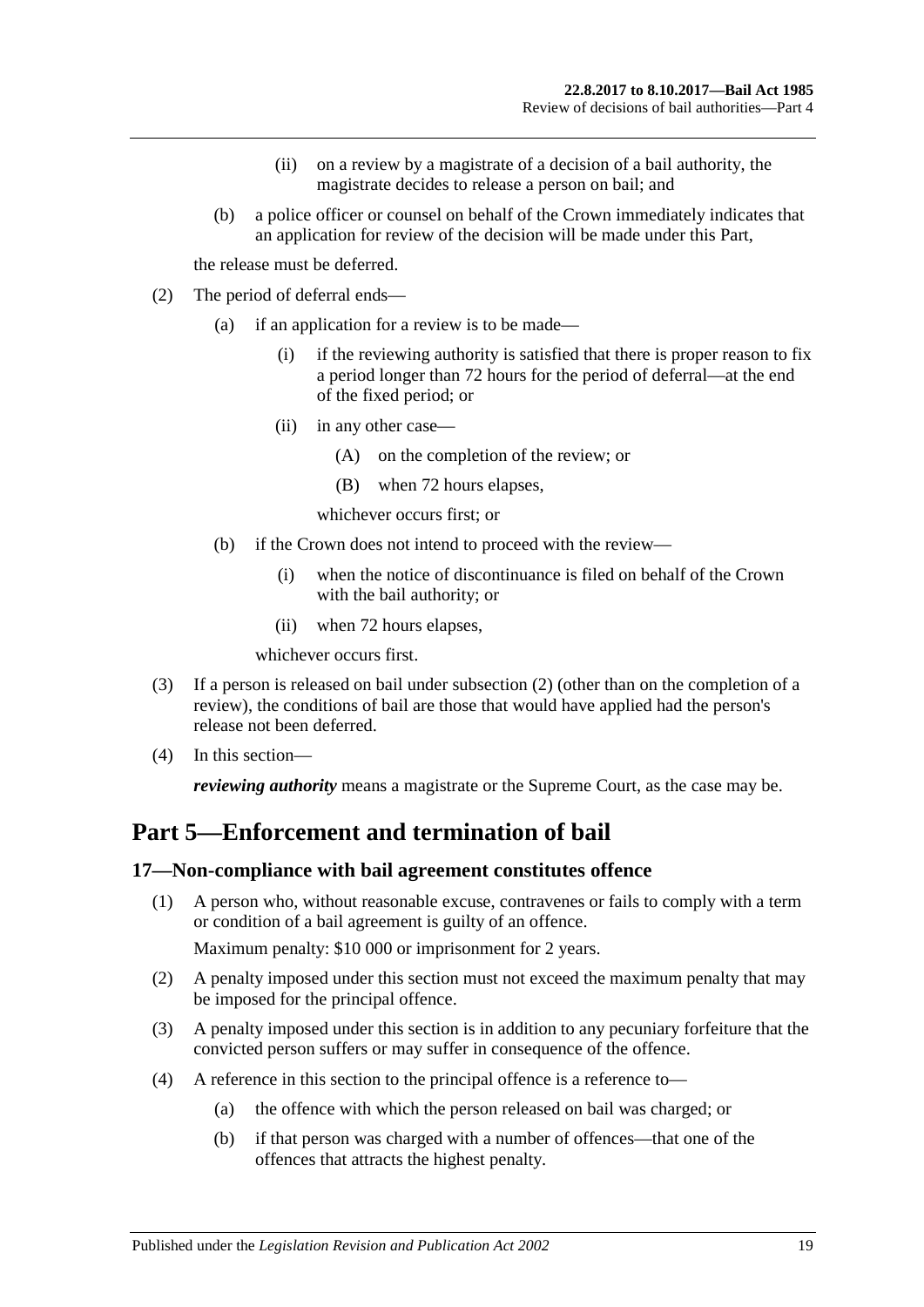- (ii) on a review by a magistrate of a decision of a bail authority, the magistrate decides to release a person on bail; and
- (b) a police officer or counsel on behalf of the Crown immediately indicates that an application for review of the decision will be made under this Part,

the release must be deferred.

- <span id="page-18-2"></span>(2) The period of deferral ends—
	- (a) if an application for a review is to be made—
		- (i) if the reviewing authority is satisfied that there is proper reason to fix a period longer than 72 hours for the period of deferral—at the end of the fixed period; or
		- (ii) in any other case—
			- (A) on the completion of the review; or
			- (B) when 72 hours elapses,
			- whichever occurs first; or
	- (b) if the Crown does not intend to proceed with the review—
		- (i) when the notice of discontinuance is filed on behalf of the Crown with the bail authority; or
		- (ii) when 72 hours elapses,

whichever occurs first.

- (3) If a person is released on bail under [subsection](#page-18-2) (2) (other than on the completion of a review), the conditions of bail are those that would have applied had the person's release not been deferred.
- (4) In this section—

*reviewing authority* means a magistrate or the Supreme Court, as the case may be.

## <span id="page-18-0"></span>**Part 5—Enforcement and termination of bail**

#### <span id="page-18-1"></span>**17—Non-compliance with bail agreement constitutes offence**

(1) A person who, without reasonable excuse, contravenes or fails to comply with a term or condition of a bail agreement is guilty of an offence.

Maximum penalty: \$10 000 or imprisonment for 2 years.

- (2) A penalty imposed under this section must not exceed the maximum penalty that may be imposed for the principal offence.
- (3) A penalty imposed under this section is in addition to any pecuniary forfeiture that the convicted person suffers or may suffer in consequence of the offence.
- (4) A reference in this section to the principal offence is a reference to—
	- (a) the offence with which the person released on bail was charged; or
	- (b) if that person was charged with a number of offences—that one of the offences that attracts the highest penalty.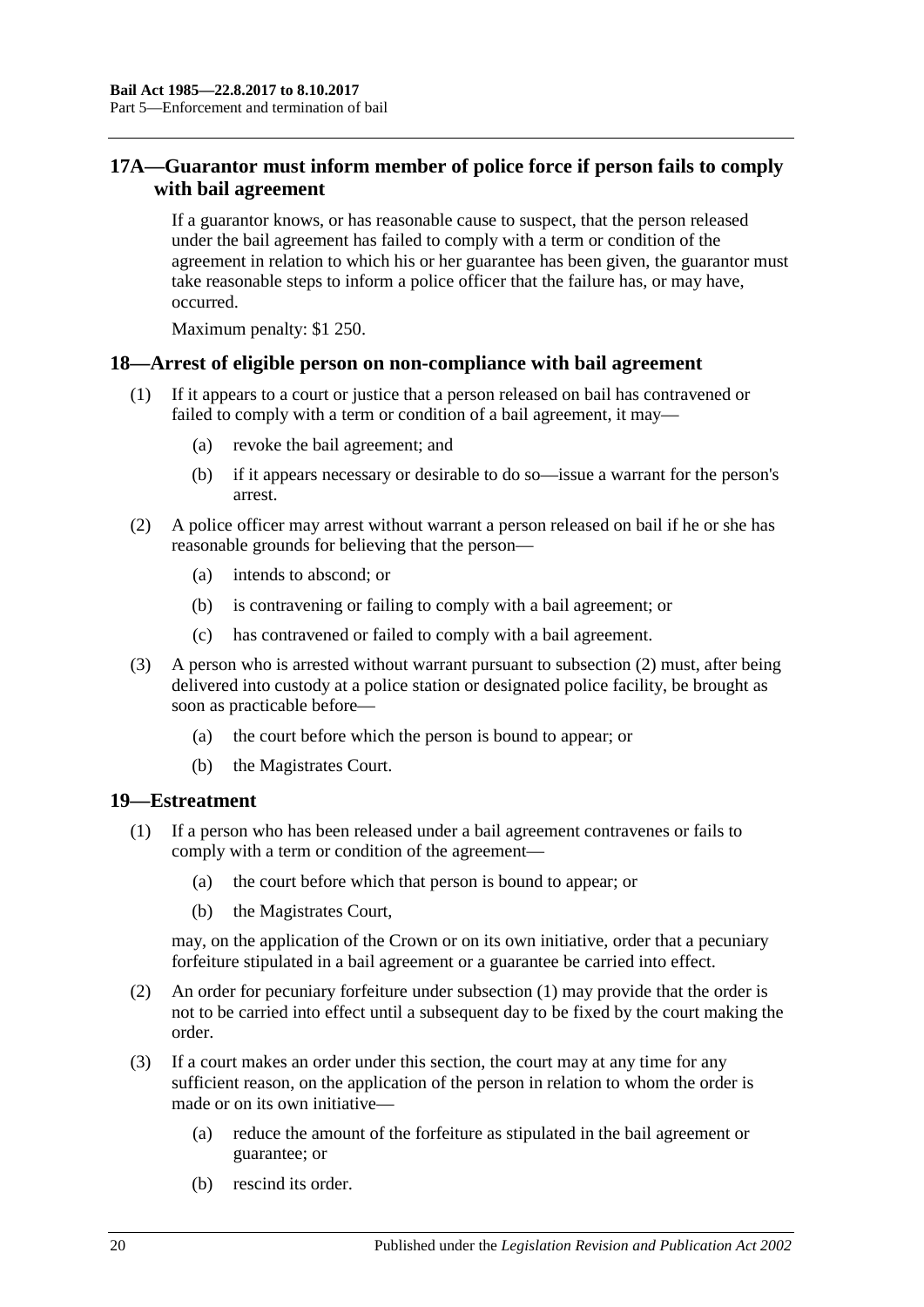## <span id="page-19-0"></span>**17A—Guarantor must inform member of police force if person fails to comply with bail agreement**

If a guarantor knows, or has reasonable cause to suspect, that the person released under the bail agreement has failed to comply with a term or condition of the agreement in relation to which his or her guarantee has been given, the guarantor must take reasonable steps to inform a police officer that the failure has, or may have, occurred.

Maximum penalty: \$1 250.

### <span id="page-19-1"></span>**18—Arrest of eligible person on non-compliance with bail agreement**

- (1) If it appears to a court or justice that a person released on bail has contravened or failed to comply with a term or condition of a bail agreement, it may—
	- (a) revoke the bail agreement; and
	- (b) if it appears necessary or desirable to do so—issue a warrant for the person's arrest.
- <span id="page-19-3"></span>(2) A police officer may arrest without warrant a person released on bail if he or she has reasonable grounds for believing that the person—
	- (a) intends to abscond; or
	- (b) is contravening or failing to comply with a bail agreement; or
	- (c) has contravened or failed to comply with a bail agreement.
- (3) A person who is arrested without warrant pursuant to [subsection](#page-19-3) (2) must, after being delivered into custody at a police station or designated police facility, be brought as soon as practicable before—
	- (a) the court before which the person is bound to appear; or
	- (b) the Magistrates Court.

### <span id="page-19-4"></span><span id="page-19-2"></span>**19—Estreatment**

- (1) If a person who has been released under a bail agreement contravenes or fails to comply with a term or condition of the agreement—
	- (a) the court before which that person is bound to appear; or
	- (b) the Magistrates Court,

may, on the application of the Crown or on its own initiative, order that a pecuniary forfeiture stipulated in a bail agreement or a guarantee be carried into effect.

- (2) An order for pecuniary forfeiture under [subsection](#page-19-4) (1) may provide that the order is not to be carried into effect until a subsequent day to be fixed by the court making the order.
- (3) If a court makes an order under this section, the court may at any time for any sufficient reason, on the application of the person in relation to whom the order is made or on its own initiative—
	- (a) reduce the amount of the forfeiture as stipulated in the bail agreement or guarantee; or
	- (b) rescind its order.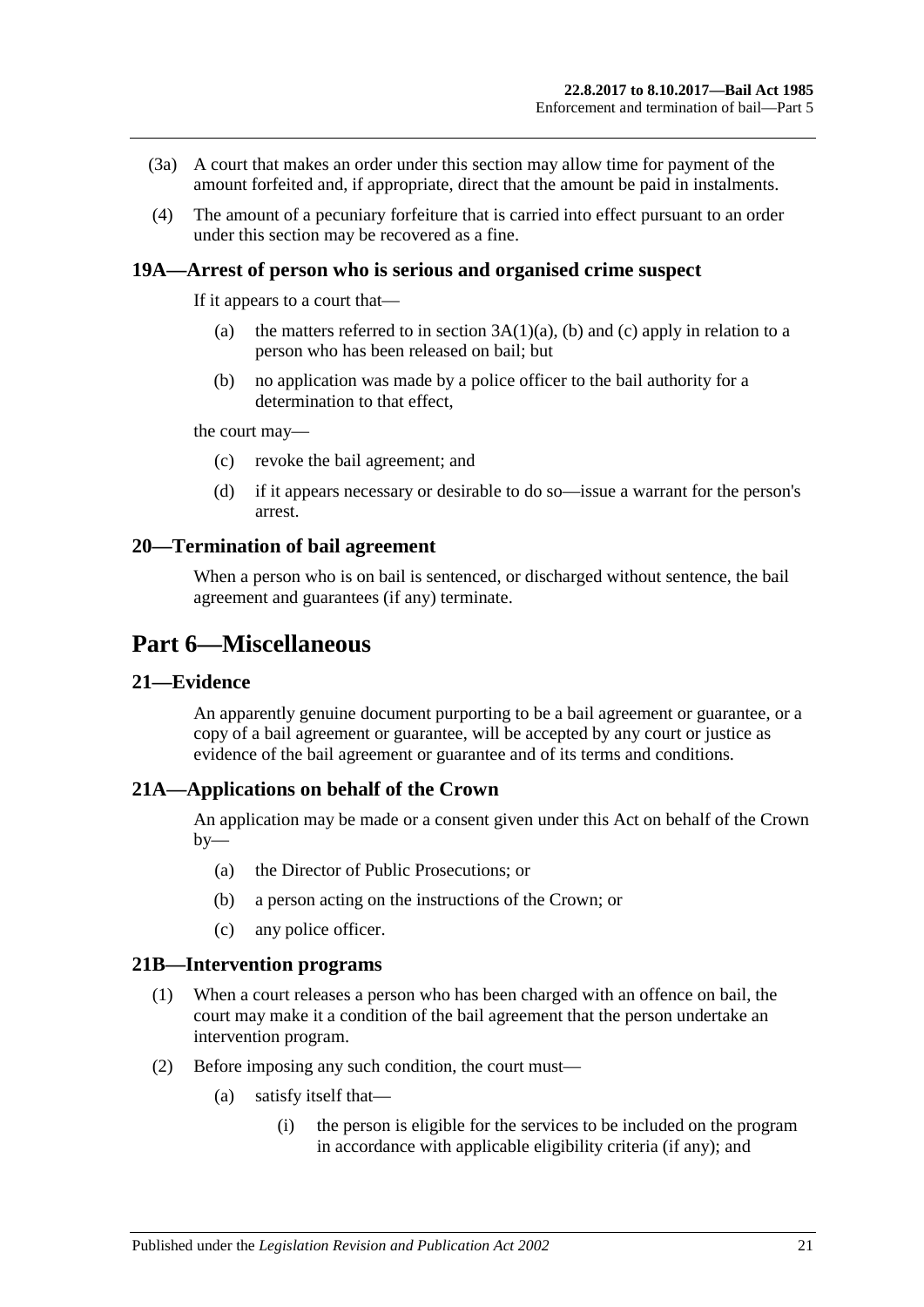- (3a) A court that makes an order under this section may allow time for payment of the amount forfeited and, if appropriate, direct that the amount be paid in instalments.
- (4) The amount of a pecuniary forfeiture that is carried into effect pursuant to an order under this section may be recovered as a fine.

#### <span id="page-20-0"></span>**19A—Arrest of person who is serious and organised crime suspect**

If it appears to a court that—

- (a) the matters referred to in section  $3A(1)(a)$ , [\(b\)](#page-3-5) and [\(c\)](#page-3-6) apply in relation to a person who has been released on bail; but
- (b) no application was made by a police officer to the bail authority for a determination to that effect,

the court may—

- (c) revoke the bail agreement; and
- (d) if it appears necessary or desirable to do so—issue a warrant for the person's arrest.

#### <span id="page-20-1"></span>**20—Termination of bail agreement**

When a person who is on bail is sentenced, or discharged without sentence, the bail agreement and guarantees (if any) terminate.

## <span id="page-20-2"></span>**Part 6—Miscellaneous**

#### <span id="page-20-3"></span>**21—Evidence**

An apparently genuine document purporting to be a bail agreement or guarantee, or a copy of a bail agreement or guarantee, will be accepted by any court or justice as evidence of the bail agreement or guarantee and of its terms and conditions.

### <span id="page-20-4"></span>**21A—Applications on behalf of the Crown**

An application may be made or a consent given under this Act on behalf of the Crown  $by-$ 

- (a) the Director of Public Prosecutions; or
- (b) a person acting on the instructions of the Crown; or
- (c) any police officer.

#### <span id="page-20-5"></span>**21B—Intervention programs**

- (1) When a court releases a person who has been charged with an offence on bail, the court may make it a condition of the bail agreement that the person undertake an intervention program.
- (2) Before imposing any such condition, the court must—
	- (a) satisfy itself that—
		- (i) the person is eligible for the services to be included on the program in accordance with applicable eligibility criteria (if any); and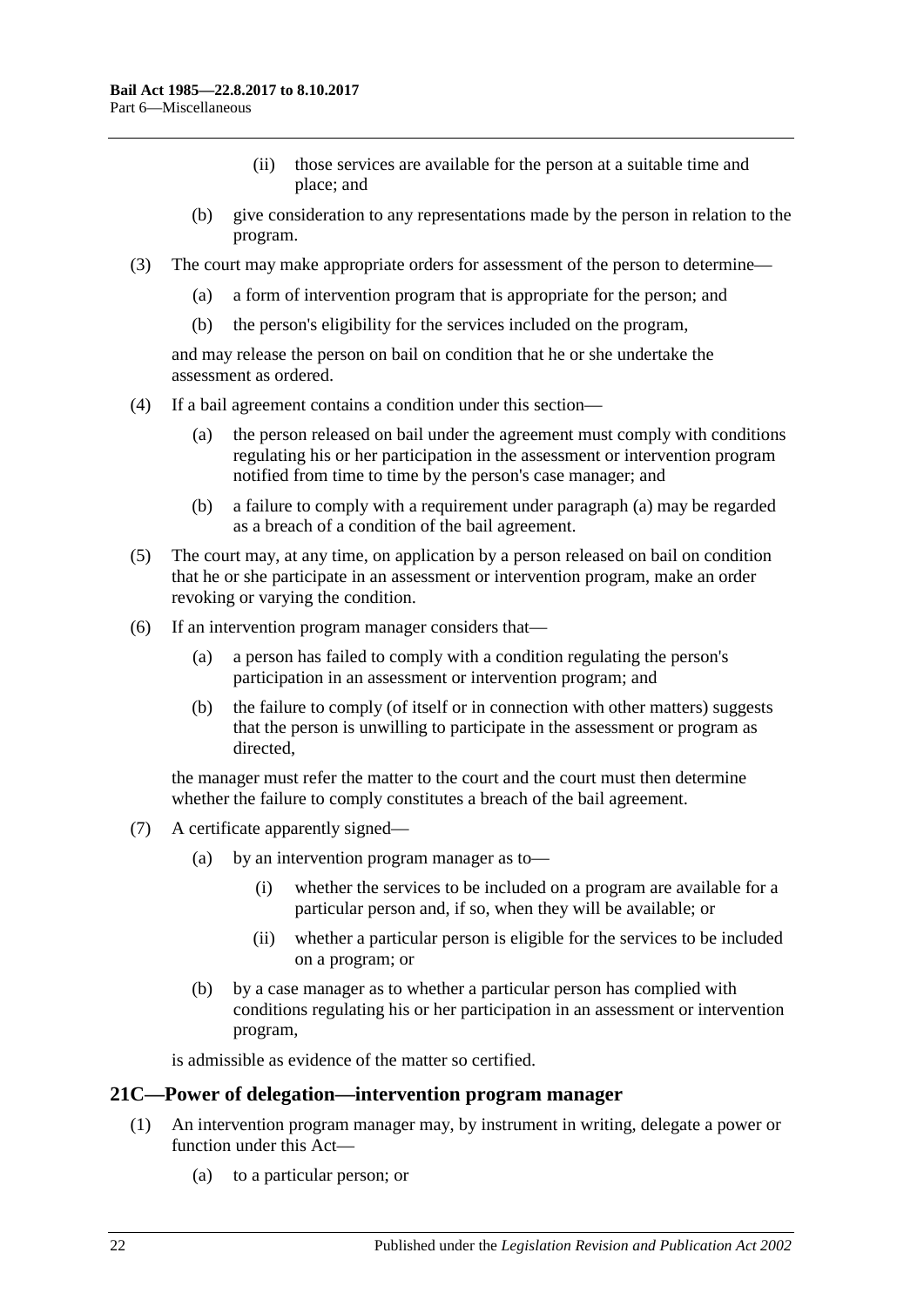- (ii) those services are available for the person at a suitable time and place; and
- (b) give consideration to any representations made by the person in relation to the program.
- (3) The court may make appropriate orders for assessment of the person to determine—
	- (a) a form of intervention program that is appropriate for the person; and
	- (b) the person's eligibility for the services included on the program,

and may release the person on bail on condition that he or she undertake the assessment as ordered.

- <span id="page-21-1"></span>(4) If a bail agreement contains a condition under this section—
	- (a) the person released on bail under the agreement must comply with conditions regulating his or her participation in the assessment or intervention program notified from time to time by the person's case manager; and
	- (b) a failure to comply with a requirement under [paragraph](#page-21-1) (a) may be regarded as a breach of a condition of the bail agreement.
- (5) The court may, at any time, on application by a person released on bail on condition that he or she participate in an assessment or intervention program, make an order revoking or varying the condition.
- (6) If an intervention program manager considers that—
	- (a) a person has failed to comply with a condition regulating the person's participation in an assessment or intervention program; and
	- (b) the failure to comply (of itself or in connection with other matters) suggests that the person is unwilling to participate in the assessment or program as directed,

the manager must refer the matter to the court and the court must then determine whether the failure to comply constitutes a breach of the bail agreement.

- (7) A certificate apparently signed—
	- (a) by an intervention program manager as to—
		- (i) whether the services to be included on a program are available for a particular person and, if so, when they will be available; or
		- (ii) whether a particular person is eligible for the services to be included on a program; or
	- (b) by a case manager as to whether a particular person has complied with conditions regulating his or her participation in an assessment or intervention program,

is admissible as evidence of the matter so certified.

#### <span id="page-21-0"></span>**21C—Power of delegation—intervention program manager**

- (1) An intervention program manager may, by instrument in writing, delegate a power or function under this Act—
	- (a) to a particular person; or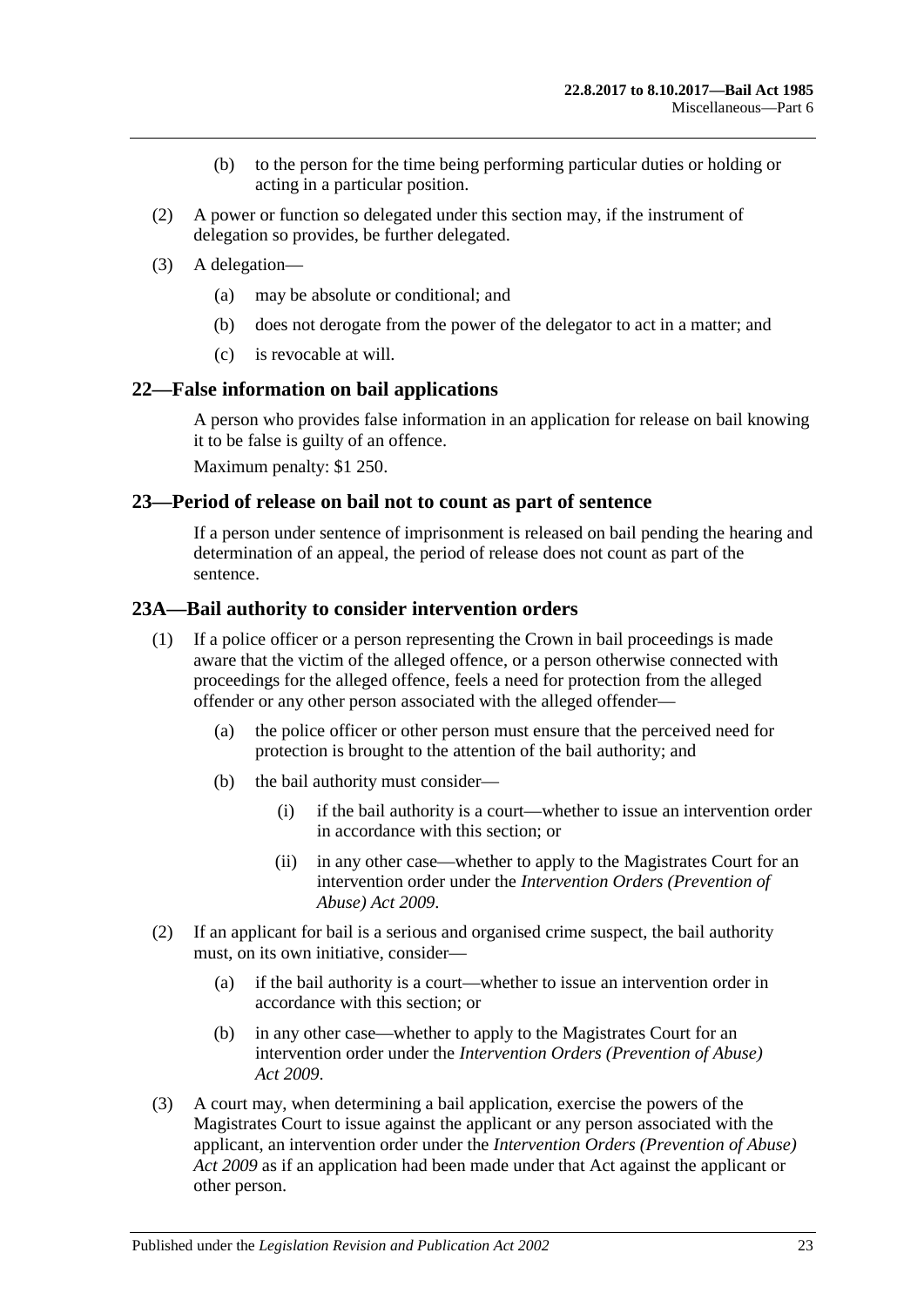- (b) to the person for the time being performing particular duties or holding or acting in a particular position.
- (2) A power or function so delegated under this section may, if the instrument of delegation so provides, be further delegated.
- (3) A delegation—
	- (a) may be absolute or conditional; and
	- (b) does not derogate from the power of the delegator to act in a matter; and
	- (c) is revocable at will.

#### <span id="page-22-0"></span>**22—False information on bail applications**

A person who provides false information in an application for release on bail knowing it to be false is guilty of an offence.

Maximum penalty: \$1 250.

#### <span id="page-22-1"></span>**23—Period of release on bail not to count as part of sentence**

If a person under sentence of imprisonment is released on bail pending the hearing and determination of an appeal, the period of release does not count as part of the sentence.

### <span id="page-22-2"></span>**23A—Bail authority to consider intervention orders**

- (1) If a police officer or a person representing the Crown in bail proceedings is made aware that the victim of the alleged offence, or a person otherwise connected with proceedings for the alleged offence, feels a need for protection from the alleged offender or any other person associated with the alleged offender—
	- (a) the police officer or other person must ensure that the perceived need for protection is brought to the attention of the bail authority; and
	- (b) the bail authority must consider—
		- (i) if the bail authority is a court—whether to issue an intervention order in accordance with this section; or
		- (ii) in any other case—whether to apply to the Magistrates Court for an intervention order under the *[Intervention Orders \(Prevention of](http://www.legislation.sa.gov.au/index.aspx?action=legref&type=act&legtitle=Intervention%20Orders%20(Prevention%20of%20Abuse)%20Act%202009)  [Abuse\) Act](http://www.legislation.sa.gov.au/index.aspx?action=legref&type=act&legtitle=Intervention%20Orders%20(Prevention%20of%20Abuse)%20Act%202009) 2009*.
- (2) If an applicant for bail is a serious and organised crime suspect, the bail authority must, on its own initiative, consider—
	- (a) if the bail authority is a court—whether to issue an intervention order in accordance with this section; or
	- (b) in any other case—whether to apply to the Magistrates Court for an intervention order under the *[Intervention Orders \(Prevention of Abuse\)](http://www.legislation.sa.gov.au/index.aspx?action=legref&type=act&legtitle=Intervention%20Orders%20(Prevention%20of%20Abuse)%20Act%202009)  Act [2009](http://www.legislation.sa.gov.au/index.aspx?action=legref&type=act&legtitle=Intervention%20Orders%20(Prevention%20of%20Abuse)%20Act%202009)*.
- (3) A court may, when determining a bail application, exercise the powers of the Magistrates Court to issue against the applicant or any person associated with the applicant, an intervention order under the *[Intervention Orders \(Prevention of Abuse\)](http://www.legislation.sa.gov.au/index.aspx?action=legref&type=act&legtitle=Intervention%20Orders%20(Prevention%20of%20Abuse)%20Act%202009)  Act [2009](http://www.legislation.sa.gov.au/index.aspx?action=legref&type=act&legtitle=Intervention%20Orders%20(Prevention%20of%20Abuse)%20Act%202009)* as if an application had been made under that Act against the applicant or other person.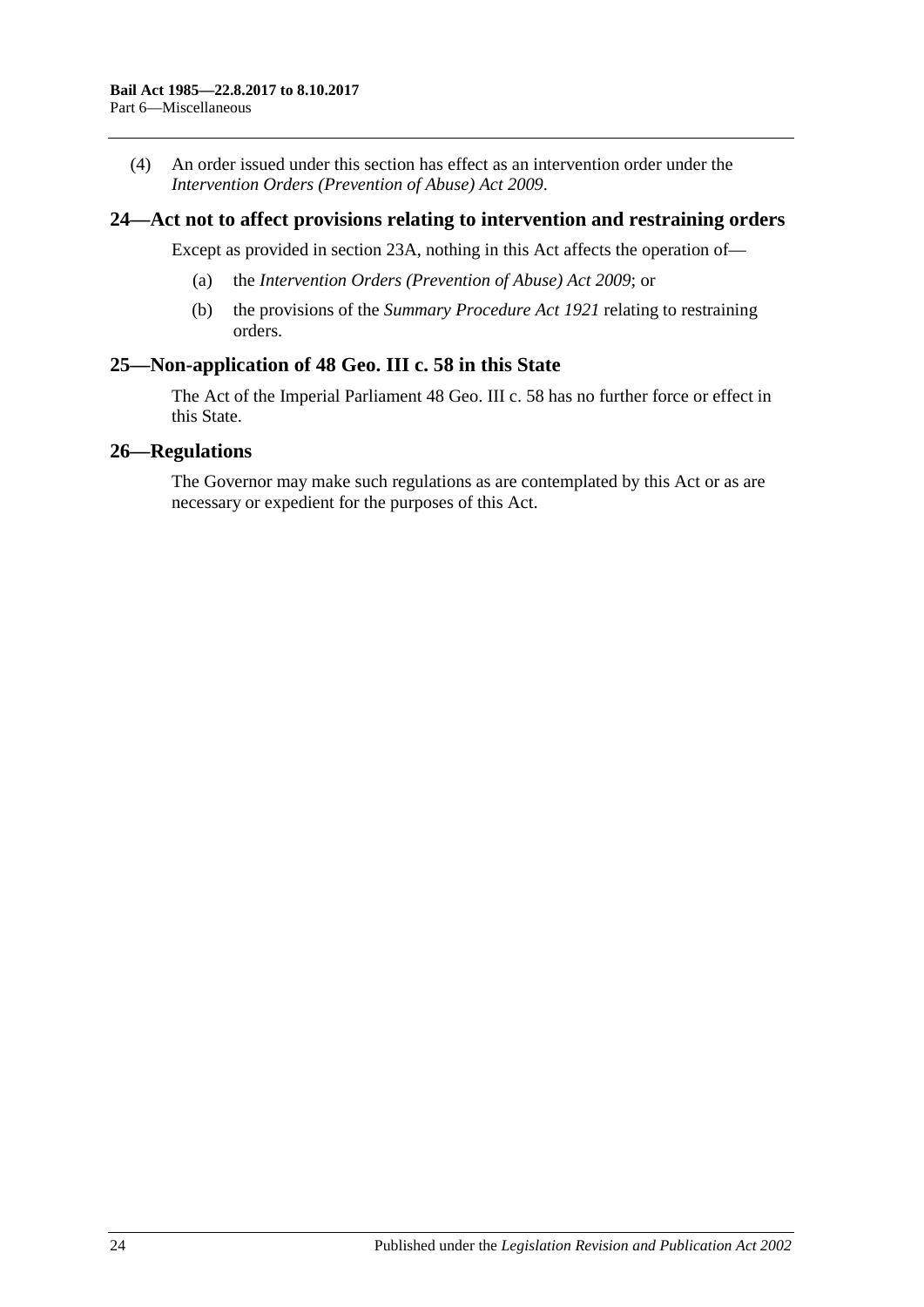(4) An order issued under this section has effect as an intervention order under the *[Intervention Orders \(Prevention of Abuse\) Act](http://www.legislation.sa.gov.au/index.aspx?action=legref&type=act&legtitle=Intervention%20Orders%20(Prevention%20of%20Abuse)%20Act%202009) 2009*.

### <span id="page-23-0"></span>**24—Act not to affect provisions relating to intervention and restraining orders**

Except as provided in [section](#page-22-2) 23A, nothing in this Act affects the operation of—

- (a) the *[Intervention Orders \(Prevention of Abuse\) Act](http://www.legislation.sa.gov.au/index.aspx?action=legref&type=act&legtitle=Intervention%20Orders%20(Prevention%20of%20Abuse)%20Act%202009) 2009*; or
- (b) the provisions of the *[Summary Procedure Act](http://www.legislation.sa.gov.au/index.aspx?action=legref&type=act&legtitle=Summary%20Procedure%20Act%201921) 1921* relating to restraining orders.

## <span id="page-23-1"></span>**25—Non-application of 48 Geo. III c. 58 in this State**

The Act of the Imperial Parliament 48 Geo. III c. 58 has no further force or effect in this State.

#### <span id="page-23-2"></span>**26—Regulations**

The Governor may make such regulations as are contemplated by this Act or as are necessary or expedient for the purposes of this Act.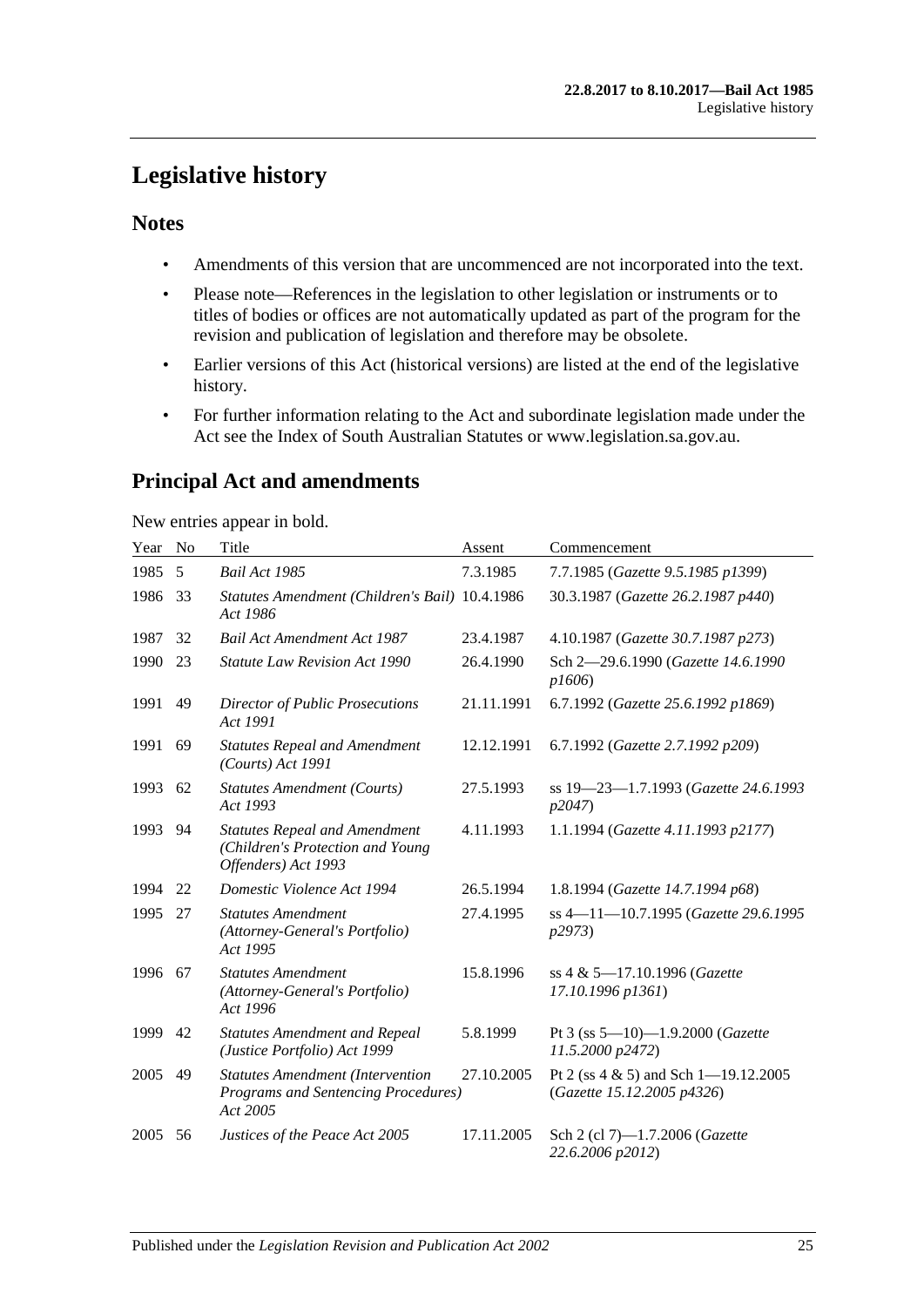## <span id="page-24-0"></span>**Legislative history**

## **Notes**

- Amendments of this version that are uncommenced are not incorporated into the text.
- Please note—References in the legislation to other legislation or instruments or to titles of bodies or offices are not automatically updated as part of the program for the revision and publication of legislation and therefore may be obsolete.
- Earlier versions of this Act (historical versions) are listed at the end of the legislative history.
- For further information relating to the Act and subordinate legislation made under the Act see the Index of South Australian Statutes or www.legislation.sa.gov.au.

## **Principal Act and amendments**

New entries appear in bold.

| Year | No | Title                                                                                           | Assent     | Commencement                                                           |
|------|----|-------------------------------------------------------------------------------------------------|------------|------------------------------------------------------------------------|
| 1985 | 5  | Bail Act 1985                                                                                   | 7.3.1985   | 7.7.1985 (Gazette 9.5.1985 p1399)                                      |
| 1986 | 33 | Statutes Amendment (Children's Bail) 10.4.1986<br>Act 1986                                      |            | 30.3.1987 (Gazette 26.2.1987 p440)                                     |
| 1987 | 32 | <b>Bail Act Amendment Act 1987</b>                                                              | 23.4.1987  | 4.10.1987 (Gazette 30.7.1987 p273)                                     |
| 1990 | 23 | <b>Statute Law Revision Act 1990</b>                                                            | 26.4.1990  | Sch 2-29.6.1990 (Gazette 14.6.1990<br>p1606)                           |
| 1991 | 49 | Director of Public Prosecutions<br>Act 1991                                                     | 21.11.1991 | 6.7.1992 (Gazette 25.6.1992 p1869)                                     |
| 1991 | 69 | <b>Statutes Repeal and Amendment</b><br>(Courts) Act 1991                                       | 12.12.1991 | 6.7.1992 (Gazette 2.7.1992 p209)                                       |
| 1993 | 62 | <b>Statutes Amendment (Courts)</b><br>Act 1993                                                  | 27.5.1993  | ss 19–23–1.7.1993 (Gazette 24.6.1993<br>p2047)                         |
| 1993 | 94 | <b>Statutes Repeal and Amendment</b><br>(Children's Protection and Young<br>Offenders) Act 1993 | 4.11.1993  | 1.1.1994 (Gazette 4.11.1993 p2177)                                     |
| 1994 | 22 | Domestic Violence Act 1994                                                                      | 26.5.1994  | 1.8.1994 (Gazette 14.7.1994 p68)                                       |
| 1995 | 27 | <b>Statutes Amendment</b><br>(Attorney-General's Portfolio)<br>Act 1995                         | 27.4.1995  | ss 4-11-10.7.1995 (Gazette 29.6.1995<br><i>p</i> 2973)                 |
| 1996 | 67 | <b>Statutes Amendment</b><br>(Attorney-General's Portfolio)<br>Act 1996                         | 15.8.1996  | ss 4 & 5-17.10.1996 (Gazette<br>17.10.1996 p1361)                      |
| 1999 | 42 | <b>Statutes Amendment and Repeal</b><br>(Justice Portfolio) Act 1999                            | 5.8.1999   | Pt 3 (ss $5-10$ )-1.9.2000 (Gazette<br>11.5.2000 p2472)                |
| 2005 | 49 | <b>Statutes Amendment (Intervention</b><br>Programs and Sentencing Procedures)<br>Act 2005      | 27.10.2005 | Pt 2 (ss $4 \& 5$ ) and Sch 1-19.12.2005<br>(Gazette 15.12.2005 p4326) |
| 2005 | 56 | Justices of the Peace Act 2005                                                                  | 17.11.2005 | Sch 2 (cl 7)-1.7.2006 (Gazette<br>22.6.2006 p2012)                     |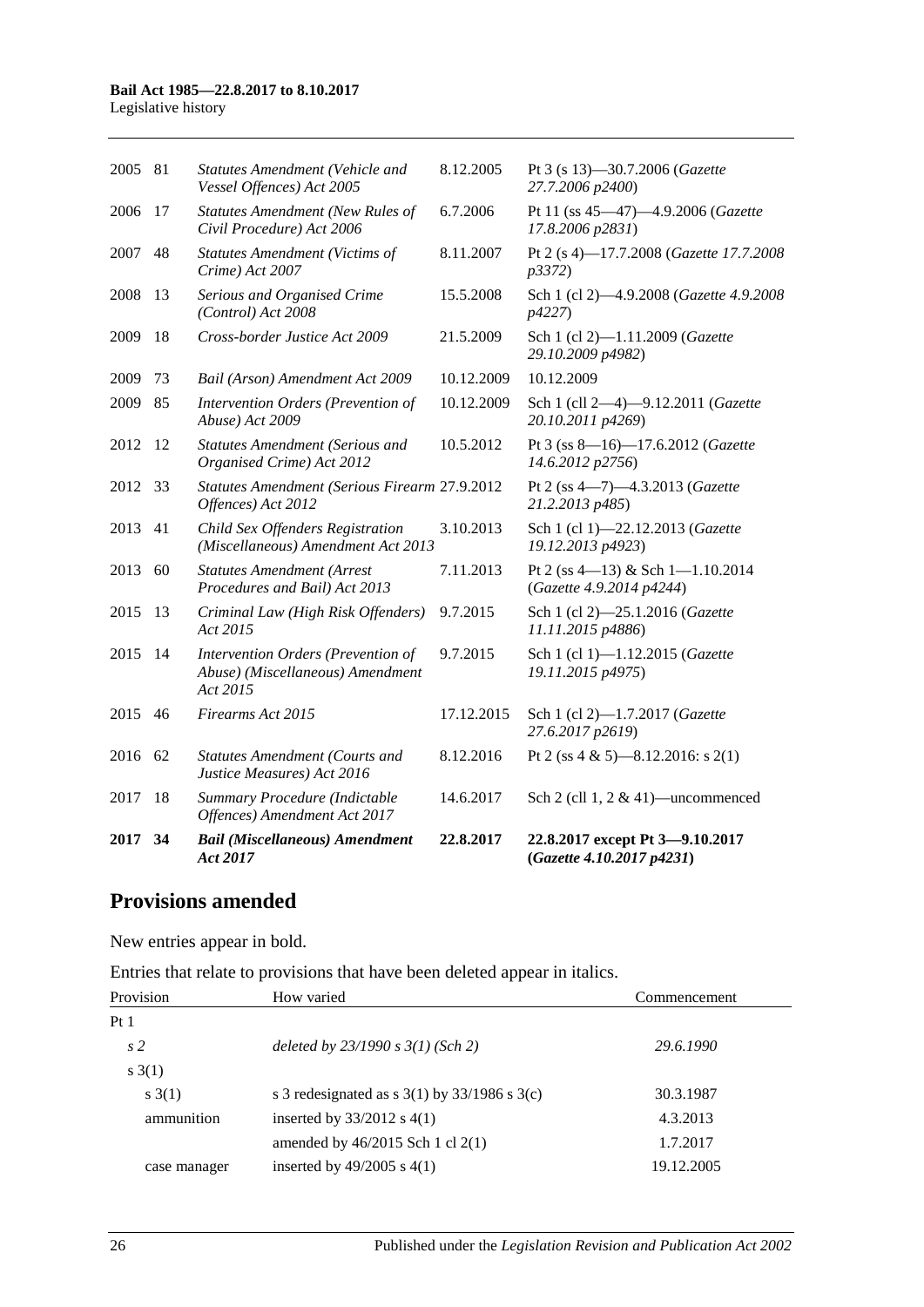#### **Bail Act 1985—22.8.2017 to 8.10.2017**

Legislative history

| 2017 | 34 | <b>Bail (Miscellaneous) Amendment</b><br>Act 2017                                  | 22.8.2017  | 22.8.2017 except Pt 3-9.10.2017<br>(Gazette 4.10.2017 p4231) |
|------|----|------------------------------------------------------------------------------------|------------|--------------------------------------------------------------|
| 2017 | 18 | Summary Procedure (Indictable<br>Offences) Amendment Act 2017                      | 14.6.2017  | Sch 2 (cll $1, 2 \& 41$ )—uncommenced                        |
| 2016 | 62 | <b>Statutes Amendment (Courts and</b><br>Justice Measures) Act 2016                | 8.12.2016  | Pt 2 (ss 4 & 5)-8.12.2016: s 2(1)                            |
| 2015 | 46 | Firearms Act 2015                                                                  | 17.12.2015 | Sch 1 (cl 2)-1.7.2017 (Gazette<br>27.6.2017 p2619)           |
| 2015 | 14 | Intervention Orders (Prevention of<br>Abuse) (Miscellaneous) Amendment<br>Act 2015 | 9.7.2015   | Sch 1 (cl 1)-1.12.2015 (Gazette<br>19.11.2015 p4975)         |
| 2015 | 13 | Criminal Law (High Risk Offenders)<br>Act 2015                                     | 9.7.2015   | Sch 1 (cl 2)-25.1.2016 (Gazette<br>11.11.2015 p4886)         |
| 2013 | 60 | <b>Statutes Amendment (Arrest</b><br>Procedures and Bail) Act 2013                 | 7.11.2013  | Pt 2 (ss 4-13) & Sch 1-1.10.2014<br>(Gazette 4.9.2014 p4244) |
| 2013 | 41 | Child Sex Offenders Registration<br>(Miscellaneous) Amendment Act 2013             | 3.10.2013  | Sch 1 (cl 1)-22.12.2013 (Gazette<br>19.12.2013 p4923)        |
| 2012 | 33 | Statutes Amendment (Serious Firearm 27.9.2012<br>Offences) Act 2012                |            | Pt 2 (ss 4-7)-4.3.2013 (Gazette<br>21.2.2013 p485)           |
| 2012 | 12 | <b>Statutes Amendment (Serious and</b><br>Organised Crime) Act 2012                | 10.5.2012  | Pt 3 (ss 8-16)-17.6.2012 (Gazette<br>14.6.2012 p2756)        |
| 2009 | 85 | Intervention Orders (Prevention of<br>Abuse) Act 2009                              | 10.12.2009 | Sch 1 (cll 2-4)-9.12.2011 (Gazette<br>20.10.2011 p4269)      |
| 2009 | 73 | Bail (Arson) Amendment Act 2009                                                    | 10.12.2009 | 10.12.2009                                                   |
| 2009 | 18 | Cross-border Justice Act 2009                                                      | 21.5.2009  | Sch 1 (cl 2)-1.11.2009 (Gazette<br>29.10.2009 p4982)         |
| 2008 | 13 | Serious and Organised Crime<br>(Control) Act 2008                                  | 15.5.2008  | Sch 1 (cl 2)-4.9.2008 (Gazette 4.9.2008)<br>p4227)           |
| 2007 | 48 | <b>Statutes Amendment (Victims of</b><br>Crime) Act 2007                           | 8.11.2007  | Pt 2 (s 4)-17.7.2008 (Gazette 17.7.2008<br>p3372             |
| 2006 | 17 | <b>Statutes Amendment (New Rules of</b><br>Civil Procedure) Act 2006               | 6.7.2006   | Pt 11 (ss 45-47)-4.9.2006 (Gazette<br>17.8.2006 p2831)       |
| 2005 | 81 | Statutes Amendment (Vehicle and<br>Vessel Offences) Act 2005                       | 8.12.2005  | Pt 3 (s 13)-30.7.2006 (Gazette<br>27.7.2006 p2400)           |
|      |    |                                                                                    |            |                                                              |

## **Provisions amended**

New entries appear in bold.

Entries that relate to provisions that have been deleted appear in italics.

| Provision       | How varied                                         | Commencement |
|-----------------|----------------------------------------------------|--------------|
| Pt <sub>1</sub> |                                                    |              |
| s <sub>2</sub>  | deleted by $23/1990 s 3(1)$ (Sch 2)                | 29.6.1990    |
| s(1)            |                                                    |              |
| s(1)            | s 3 redesignated as s $3(1)$ by $33/1986$ s $3(c)$ | 30.3.1987    |
| ammunition      | inserted by $33/2012$ s 4(1)                       | 4.3.2013     |
|                 | amended by $46/2015$ Sch 1 cl 2(1)                 | 1.7.2017     |
| case manager    | inserted by $49/2005$ s $4(1)$                     | 19.12.2005   |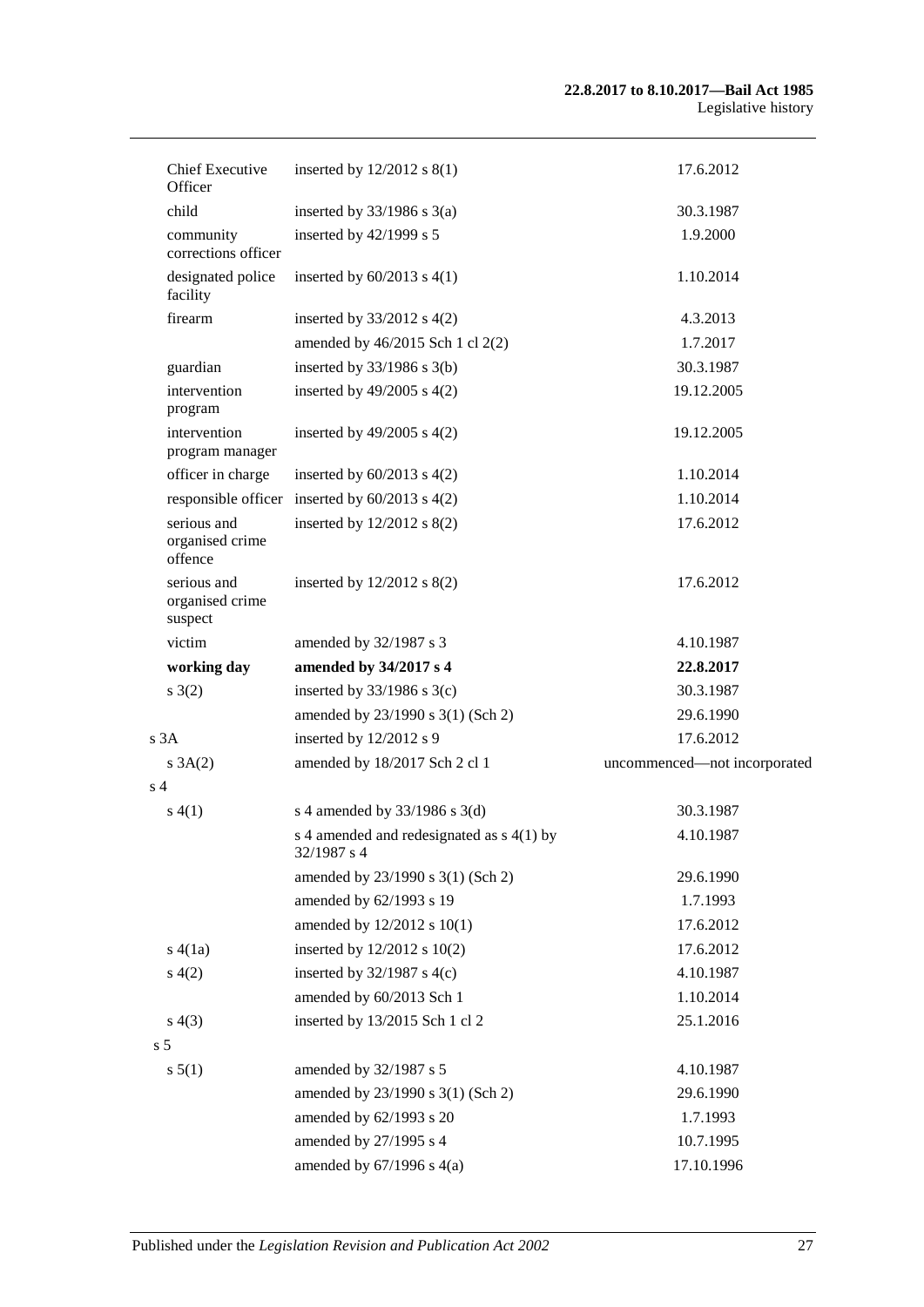| <b>Chief Executive</b><br>Officer         | inserted by $12/2012$ s $8(1)$                             | 17.6.2012                    |
|-------------------------------------------|------------------------------------------------------------|------------------------------|
| child                                     | inserted by $33/1986$ s $3(a)$                             | 30.3.1987                    |
| community<br>corrections officer          | inserted by 42/1999 s 5                                    | 1.9.2000                     |
| designated police<br>facility             | inserted by $60/2013$ s $4(1)$                             | 1.10.2014                    |
| firearm                                   | inserted by $33/2012$ s 4(2)                               | 4.3.2013                     |
|                                           | amended by 46/2015 Sch 1 cl 2(2)                           | 1.7.2017                     |
| guardian                                  | inserted by $33/1986$ s $3(b)$                             | 30.3.1987                    |
| intervention<br>program                   | inserted by $49/2005$ s $4(2)$                             | 19.12.2005                   |
| intervention<br>program manager           | inserted by $49/2005$ s $4(2)$                             | 19.12.2005                   |
| officer in charge                         | inserted by $60/2013$ s $4(2)$                             | 1.10.2014                    |
|                                           | responsible officer inserted by $60/2013$ s $4(2)$         | 1.10.2014                    |
| serious and<br>organised crime<br>offence | inserted by 12/2012 s 8(2)                                 | 17.6.2012                    |
| serious and<br>organised crime<br>suspect | inserted by $12/2012$ s $8(2)$                             | 17.6.2012                    |
| victim                                    | amended by 32/1987 s 3                                     | 4.10.1987                    |
| working day                               | amended by 34/2017 s 4                                     | 22.8.2017                    |
| s(2)                                      | inserted by $33/1986$ s 3(c)                               | 30.3.1987                    |
|                                           | amended by 23/1990 s 3(1) (Sch 2)                          | 29.6.1990                    |
| s 3A                                      | inserted by 12/2012 s 9                                    | 17.6.2012                    |
| s 3A(2)                                   | amended by 18/2017 Sch 2 cl 1                              | uncommenced-not incorporated |
| s 4                                       |                                                            |                              |
| s(4(1))                                   | s 4 amended by $33/1986$ s 3(d)                            | 30.3.1987                    |
|                                           | s 4 amended and redesignated as $s$ 4(1) by<br>32/1987 s 4 | 4.10.1987                    |
|                                           | amended by 23/1990 s 3(1) (Sch 2)                          | 29.6.1990                    |
|                                           | amended by 62/1993 s 19                                    | 1.7.1993                     |
|                                           | amended by 12/2012 s 10(1)                                 | 17.6.2012                    |
| s(4(1a))                                  | inserted by $12/2012$ s $10(2)$                            | 17.6.2012                    |
| s(4(2)                                    | inserted by $32/1987$ s 4(c)                               | 4.10.1987                    |
|                                           | amended by 60/2013 Sch 1                                   | 1.10.2014                    |
| s(4(3))                                   | inserted by 13/2015 Sch 1 cl 2                             | 25.1.2016                    |
| s <sub>5</sub>                            |                                                            |                              |
| s 5(1)                                    | amended by 32/1987 s 5                                     | 4.10.1987                    |
|                                           | amended by 23/1990 s 3(1) (Sch 2)                          | 29.6.1990                    |
|                                           | amended by 62/1993 s 20                                    | 1.7.1993                     |
|                                           | amended by 27/1995 s 4                                     | 10.7.1995                    |
|                                           | amended by $67/1996$ s $4(a)$                              | 17.10.1996                   |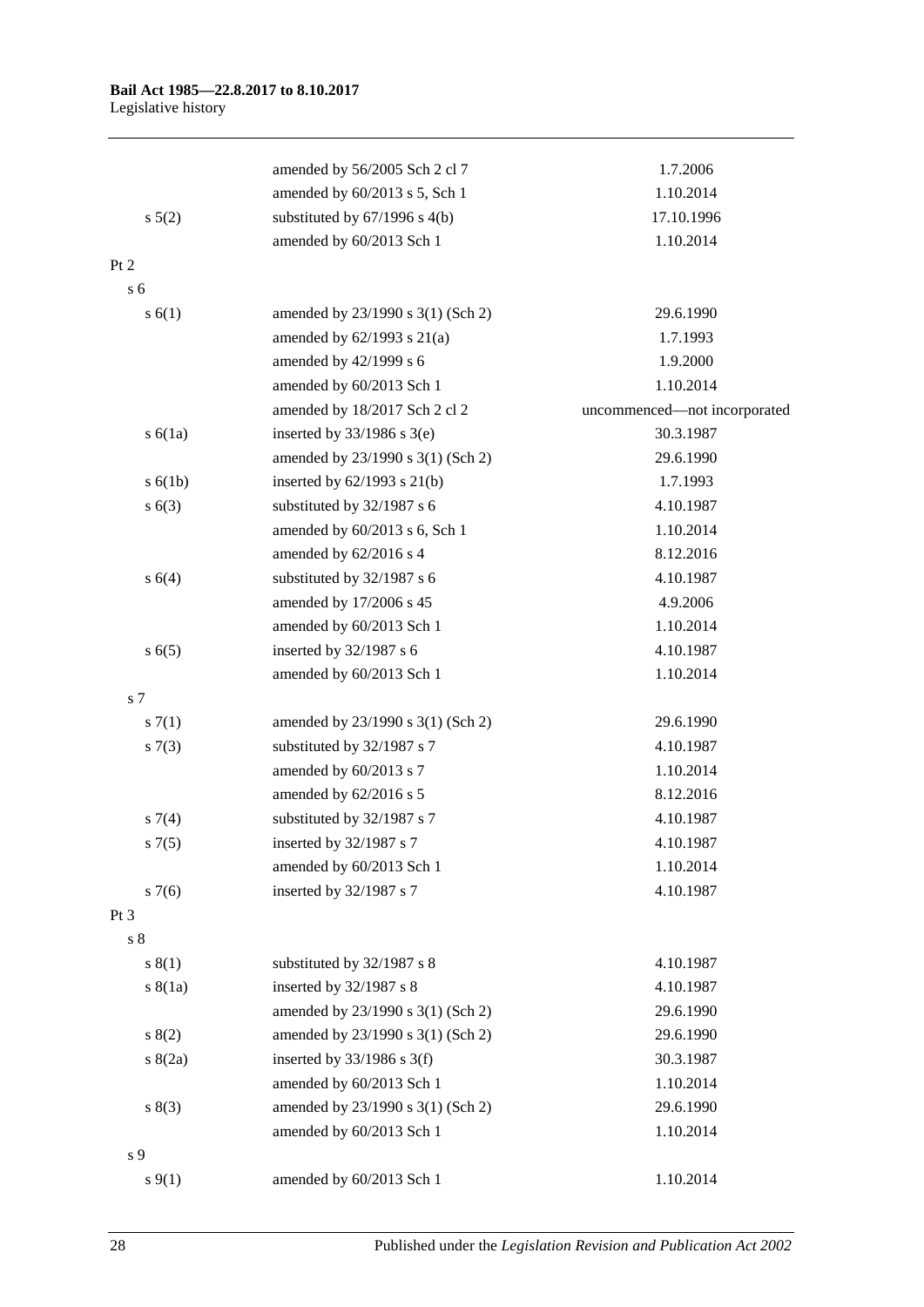|                | amended by 56/2005 Sch 2 cl 7     | 1.7.2006                     |
|----------------|-----------------------------------|------------------------------|
|                | amended by 60/2013 s 5, Sch 1     | 1.10.2014                    |
| s 5(2)         | substituted by $67/1996$ s 4(b)   | 17.10.1996                   |
|                | amended by 60/2013 Sch 1          | 1.10.2014                    |
| Pt 2           |                                   |                              |
| s <sub>6</sub> |                                   |                              |
| s(6(1))        | amended by 23/1990 s 3(1) (Sch 2) | 29.6.1990                    |
|                | amended by $62/1993$ s $21(a)$    | 1.7.1993                     |
|                | amended by 42/1999 s 6            | 1.9.2000                     |
|                | amended by 60/2013 Sch 1          | 1.10.2014                    |
|                | amended by 18/2017 Sch 2 cl 2     | uncommenced-not incorporated |
| s(6(1a))       | inserted by $33/1986$ s $3(e)$    | 30.3.1987                    |
|                | amended by 23/1990 s 3(1) (Sch 2) | 29.6.1990                    |
| s(6(1b))       | inserted by $62/1993$ s $21(b)$   | 1.7.1993                     |
| s(63)          | substituted by 32/1987 s 6        | 4.10.1987                    |
|                | amended by 60/2013 s 6, Sch 1     | 1.10.2014                    |
|                | amended by 62/2016 s 4            | 8.12.2016                    |
| s 6(4)         | substituted by 32/1987 s 6        | 4.10.1987                    |
|                | amended by 17/2006 s 45           | 4.9.2006                     |
|                | amended by 60/2013 Sch 1          | 1.10.2014                    |
| s(6(5)         | inserted by 32/1987 s 6           | 4.10.1987                    |
|                | amended by 60/2013 Sch 1          | 1.10.2014                    |
| s 7            |                                   |                              |
| s(7(1))        | amended by 23/1990 s 3(1) (Sch 2) | 29.6.1990                    |
| s(7(3))        | substituted by 32/1987 s 7        | 4.10.1987                    |
|                | amended by 60/2013 s 7            | 1.10.2014                    |
|                | amended by 62/2016 s 5            | 8.12.2016                    |
| s7(4)          | substituted by 32/1987 s 7        | 4.10.1987                    |
| s(7(5)         | inserted by $32/1987$ s 7         | 4.10.1987                    |
|                | amended by 60/2013 Sch 1          | 1.10.2014                    |
| s7(6)          | inserted by 32/1987 s 7           | 4.10.1987                    |
| Pt 3           |                                   |                              |
| $s8$           |                                   |                              |
| s(1)           | substituted by 32/1987 s 8        | 4.10.1987                    |
| s(8(1a))       | inserted by 32/1987 s 8           | 4.10.1987                    |
|                | amended by 23/1990 s 3(1) (Sch 2) | 29.6.1990                    |
| s(2)           | amended by 23/1990 s 3(1) (Sch 2) | 29.6.1990                    |
| s(2a)          | inserted by $33/1986$ s 3(f)      | 30.3.1987                    |
|                | amended by 60/2013 Sch 1          | 1.10.2014                    |
| s(3)           | amended by 23/1990 s 3(1) (Sch 2) | 29.6.1990                    |
|                | amended by 60/2013 Sch 1          | 1.10.2014                    |
| s 9            |                                   |                              |
| $s \, 9(1)$    | amended by 60/2013 Sch 1          | 1.10.2014                    |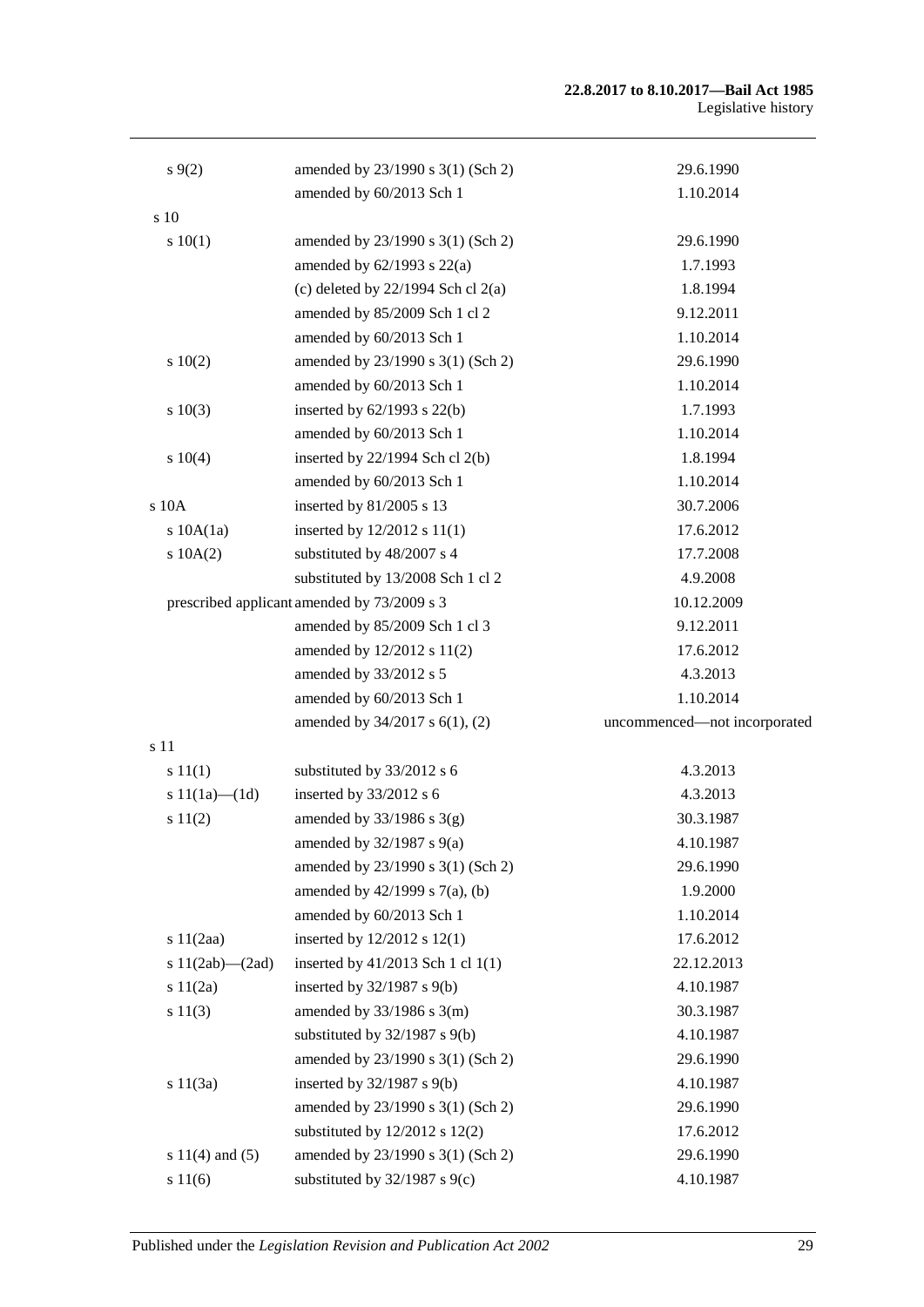| s(9(2)                | amended by 23/1990 s 3(1) (Sch 2)           | 29.6.1990                    |
|-----------------------|---------------------------------------------|------------------------------|
|                       | amended by 60/2013 Sch 1                    | 1.10.2014                    |
| s 10                  |                                             |                              |
| s 10(1)               | amended by 23/1990 s 3(1) (Sch 2)           | 29.6.1990                    |
|                       | amended by $62/1993$ s $22(a)$              | 1.7.1993                     |
|                       | (c) deleted by $22/1994$ Sch cl $2(a)$      | 1.8.1994                     |
|                       | amended by 85/2009 Sch 1 cl 2               | 9.12.2011                    |
|                       | amended by 60/2013 Sch 1                    | 1.10.2014                    |
| 10(2)                 | amended by 23/1990 s 3(1) (Sch 2)           | 29.6.1990                    |
|                       | amended by 60/2013 Sch 1                    | 1.10.2014                    |
| s 10(3)               | inserted by $62/1993$ s $22(b)$             | 1.7.1993                     |
|                       | amended by 60/2013 Sch 1                    | 1.10.2014                    |
| s 10(4)               | inserted by 22/1994 Sch cl 2(b)             | 1.8.1994                     |
|                       | amended by 60/2013 Sch 1                    | 1.10.2014                    |
| s 10A                 | inserted by 81/2005 s 13                    | 30.7.2006                    |
| $s$ 10A $(1a)$        | inserted by $12/2012$ s $11(1)$             | 17.6.2012                    |
| $s$ 10A $(2)$         | substituted by 48/2007 s 4                  | 17.7.2008                    |
|                       | substituted by 13/2008 Sch 1 cl 2           | 4.9.2008                     |
|                       | prescribed applicant amended by 73/2009 s 3 | 10.12.2009                   |
|                       | amended by 85/2009 Sch 1 cl 3               | 9.12.2011                    |
|                       | amended by 12/2012 s 11(2)                  | 17.6.2012                    |
|                       | amended by 33/2012 s 5                      | 4.3.2013                     |
|                       | amended by 60/2013 Sch 1                    | 1.10.2014                    |
|                       | amended by 34/2017 s 6(1), (2)              | uncommenced-not incorporated |
| s 11                  |                                             |                              |
| s 11(1)               | substituted by 33/2012 s 6                  | 4.3.2013                     |
| s $11(1a)$ — $(1d)$   | inserted by 33/2012 s 6                     | 4.3.2013                     |
| s 11(2)               | amended by $33/1986$ s $3(g)$               | 30.3.1987                    |
|                       | amended by $32/1987$ s $9(a)$               | 4.10.1987                    |
|                       | amended by 23/1990 s 3(1) (Sch 2)           | 29.6.1990                    |
|                       | amended by $42/1999$ s $7(a)$ , (b)         | 1.9.2000                     |
|                       | amended by 60/2013 Sch 1                    | 1.10.2014                    |
| s 11(2aa)             | inserted by $12/2012$ s $12(1)$             | 17.6.2012                    |
| s $11(2ab)$ - $(2ad)$ | inserted by 41/2013 Sch 1 cl 1(1)           | 22.12.2013                   |
| s 11(2a)              | inserted by 32/1987 s 9(b)                  | 4.10.1987                    |
| s 11(3)               | amended by $33/1986$ s 3(m)                 | 30.3.1987                    |
|                       | substituted by $32/1987$ s $9(b)$           | 4.10.1987                    |
|                       | amended by 23/1990 s 3(1) (Sch 2)           | 29.6.1990                    |
| s 11(3a)              | inserted by 32/1987 s 9(b)                  | 4.10.1987                    |
|                       | amended by 23/1990 s 3(1) (Sch 2)           | 29.6.1990                    |
|                       | substituted by $12/2012$ s $12(2)$          | 17.6.2012                    |
| s $11(4)$ and $(5)$   | amended by 23/1990 s 3(1) (Sch 2)           | 29.6.1990                    |
| s 11(6)               | substituted by $32/1987$ s $9(c)$           | 4.10.1987                    |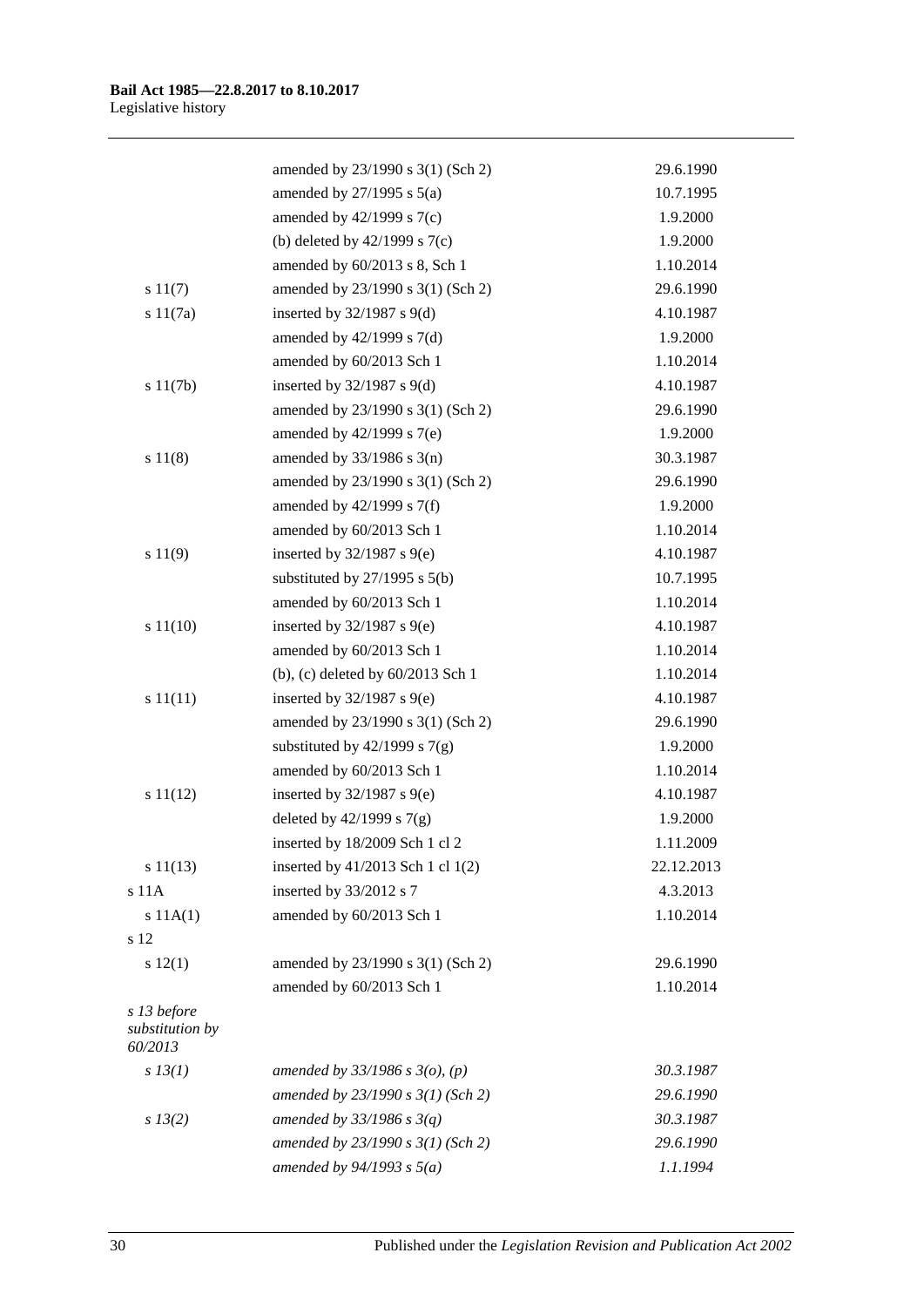|                                           | amended by 23/1990 s 3(1) (Sch 2)   | 29.6.1990  |
|-------------------------------------------|-------------------------------------|------------|
|                                           | amended by $27/1995$ s $5(a)$       | 10.7.1995  |
|                                           | amended by $42/1999$ s $7(c)$       | 1.9.2000   |
|                                           | (b) deleted by $42/1999$ s $7(c)$   | 1.9.2000   |
|                                           | amended by 60/2013 s 8, Sch 1       | 1.10.2014  |
| s 11(7)                                   | amended by 23/1990 s 3(1) (Sch 2)   | 29.6.1990  |
| s 11(7a)                                  | inserted by $32/1987$ s $9(d)$      | 4.10.1987  |
|                                           | amended by $42/1999$ s $7(d)$       | 1.9.2000   |
|                                           | amended by 60/2013 Sch 1            | 1.10.2014  |
| s 11(7b)                                  | inserted by $32/1987$ s $9(d)$      | 4.10.1987  |
|                                           | amended by 23/1990 s 3(1) (Sch 2)   | 29.6.1990  |
|                                           | amended by $42/1999$ s $7(e)$       | 1.9.2000   |
| s 11(8)                                   | amended by $33/1986$ s $3(n)$       | 30.3.1987  |
|                                           | amended by 23/1990 s 3(1) (Sch 2)   | 29.6.1990  |
|                                           | amended by $42/1999$ s $7(f)$       | 1.9.2000   |
|                                           | amended by 60/2013 Sch 1            | 1.10.2014  |
| s 11(9)                                   | inserted by $32/1987$ s $9(e)$      | 4.10.1987  |
|                                           | substituted by $27/1995$ s $5(b)$   | 10.7.1995  |
|                                           | amended by 60/2013 Sch 1            | 1.10.2014  |
| s 11(10)                                  | inserted by $32/1987$ s $9(e)$      | 4.10.1987  |
|                                           | amended by 60/2013 Sch 1            | 1.10.2014  |
|                                           | (b), (c) deleted by 60/2013 Sch 1   | 1.10.2014  |
| s 11(11)                                  | inserted by $32/1987$ s $9(e)$      | 4.10.1987  |
|                                           | amended by 23/1990 s 3(1) (Sch 2)   | 29.6.1990  |
|                                           | substituted by $42/1999$ s $7(g)$   | 1.9.2000   |
|                                           | amended by 60/2013 Sch 1            | 1.10.2014  |
| s 11(12)                                  | inserted by $32/1987$ s $9(e)$      | 4.10.1987  |
|                                           | deleted by $42/1999$ s $7(g)$       | 1.9.2000   |
|                                           | inserted by 18/2009 Sch 1 cl 2      | 1.11.2009  |
| s 11(13)                                  | inserted by 41/2013 Sch 1 cl 1(2)   | 22.12.2013 |
| s 11A                                     | inserted by 33/2012 s 7             | 4.3.2013   |
| s 11A(1)                                  | amended by 60/2013 Sch 1            | 1.10.2014  |
| s 12                                      |                                     |            |
| s 12(1)                                   | amended by 23/1990 s 3(1) (Sch 2)   | 29.6.1990  |
|                                           | amended by 60/2013 Sch 1            | 1.10.2014  |
| s 13 before<br>substitution by<br>60/2013 |                                     |            |
| $s$ 13(1)                                 | amended by $33/1986$ s $3(o)$ , (p) | 30.3.1987  |
|                                           | amended by $23/1990 s 3(1)$ (Sch 2) | 29.6.1990  |
| $s$ 13(2)                                 | amended by $33/1986$ s $3(q)$       | 30.3.1987  |
|                                           | amended by $23/1990 s 3(1)$ (Sch 2) | 29.6.1990  |
|                                           | amended by $94/1993$ s $5(a)$       | 1.1.1994   |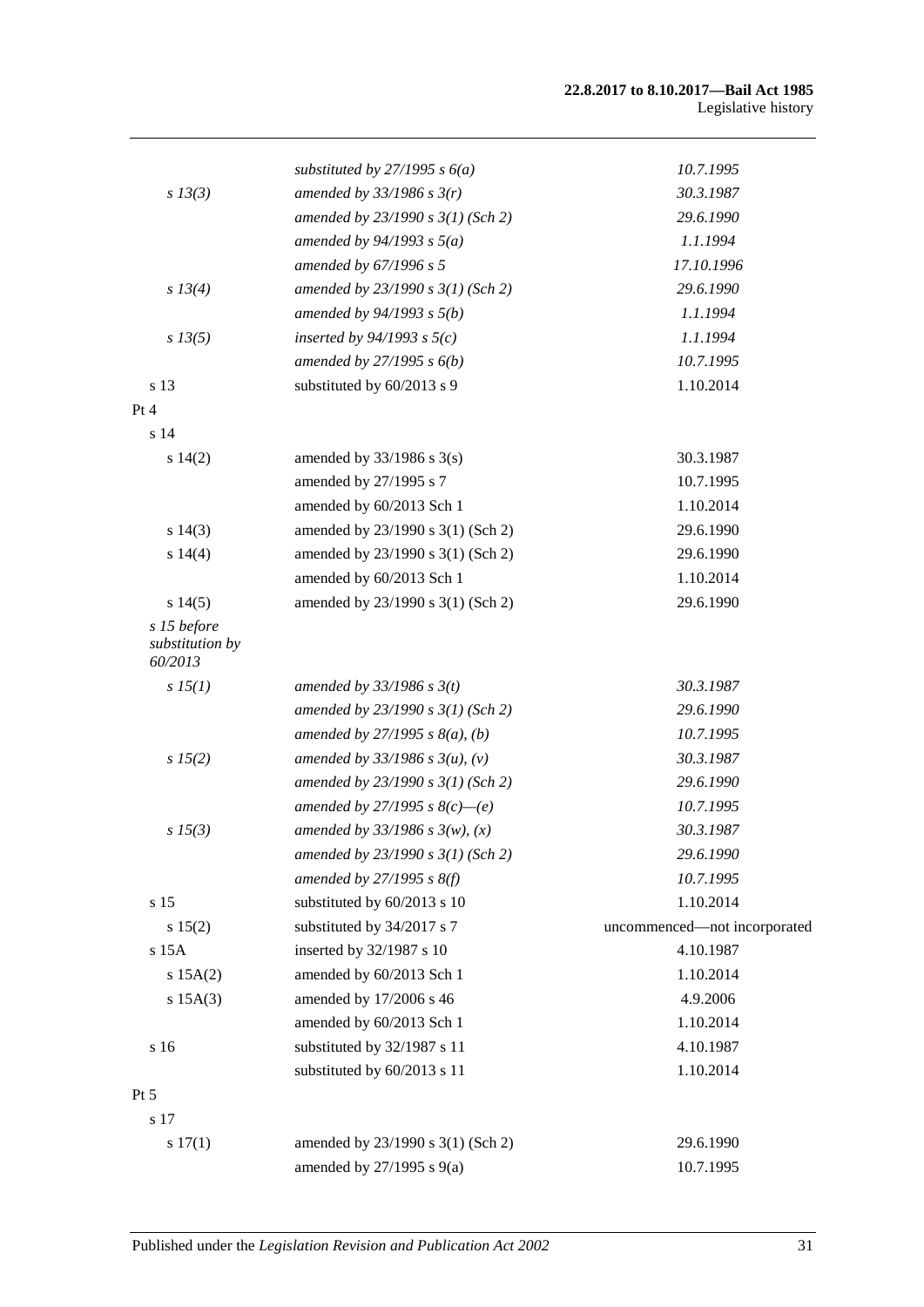|                                           | substituted by $27/1995 s 6(a)$     | 10.7.1995                    |
|-------------------------------------------|-------------------------------------|------------------------------|
| $s$ 13(3)                                 | amended by $33/1986$ s $3(r)$       | 30.3.1987                    |
|                                           | amended by $23/1990 s 3(1)$ (Sch 2) | 29.6.1990                    |
|                                           | amended by $94/1993$ s $5(a)$       | 1.1.1994                     |
|                                           | amended by 67/1996 s 5              | 17.10.1996                   |
| s 13(4)                                   | amended by $23/1990 s 3(1)$ (Sch 2) | 29.6.1990                    |
|                                           | amended by 94/1993 s 5(b)           | 1.1.1994                     |
| $s\,13(5)$                                | inserted by $94/1993$ s $5(c)$      | 1.1.1994                     |
|                                           | amended by $27/1995 s 6(b)$         | 10.7.1995                    |
| s 13                                      | substituted by 60/2013 s 9          | 1.10.2014                    |
| Pt 4                                      |                                     |                              |
| s 14                                      |                                     |                              |
| s 14(2)                                   | amended by $33/1986$ s $3(s)$       | 30.3.1987                    |
|                                           | amended by 27/1995 s 7              | 10.7.1995                    |
|                                           | amended by 60/2013 Sch 1            | 1.10.2014                    |
| s 14(3)                                   | amended by 23/1990 s 3(1) (Sch 2)   | 29.6.1990                    |
| s 14(4)                                   | amended by 23/1990 s 3(1) (Sch 2)   | 29.6.1990                    |
|                                           | amended by 60/2013 Sch 1            | 1.10.2014                    |
| s 14(5)                                   | amended by 23/1990 s 3(1) (Sch 2)   | 29.6.1990                    |
| s 15 before<br>substitution by<br>60/2013 |                                     |                              |
| sI5(1)                                    | amended by $33/1986$ s $3(t)$       | 30.3.1987                    |
|                                           | amended by $23/1990 s 3(1)$ (Sch 2) | 29.6.1990                    |
|                                           | amended by $27/1995 s 8(a)$ , (b)   | 10.7.1995                    |
| s 15(2)                                   | amended by $33/1986$ s $3(u)$ , (v) | 30.3.1987                    |
|                                           | amended by $23/1990 s 3(1)$ (Sch 2) | 29.6.1990                    |
|                                           | amended by 27/1995 s $8(c)$ -(e)    | 10.7.1995                    |
| $s\,15(3)$                                | amended by $33/1986 s 3(w)$ , (x)   | 30.3.1987                    |
|                                           | amended by 23/1990 s 3(1) (Sch 2)   | 29.6.1990                    |
|                                           | amended by $27/1995$ s $8(f)$       | 10.7.1995                    |
| s 15                                      | substituted by 60/2013 s 10         | 1.10.2014                    |
| s 15(2)                                   | substituted by 34/2017 s 7          | uncommenced-not incorporated |
| s 15A                                     | inserted by 32/1987 s 10            | 4.10.1987                    |
| s 15A(2)                                  | amended by 60/2013 Sch 1            | 1.10.2014                    |
| $s$ 15A $(3)$                             | amended by 17/2006 s 46             | 4.9.2006                     |
|                                           | amended by 60/2013 Sch 1            | 1.10.2014                    |
| s 16                                      | substituted by 32/1987 s 11         | 4.10.1987                    |
|                                           | substituted by 60/2013 s 11         | 1.10.2014                    |
| Pt 5                                      |                                     |                              |
| s 17                                      |                                     |                              |
| s 17(1)                                   | amended by 23/1990 s 3(1) (Sch 2)   | 29.6.1990                    |
|                                           | amended by 27/1995 s 9(a)           | 10.7.1995                    |
|                                           |                                     |                              |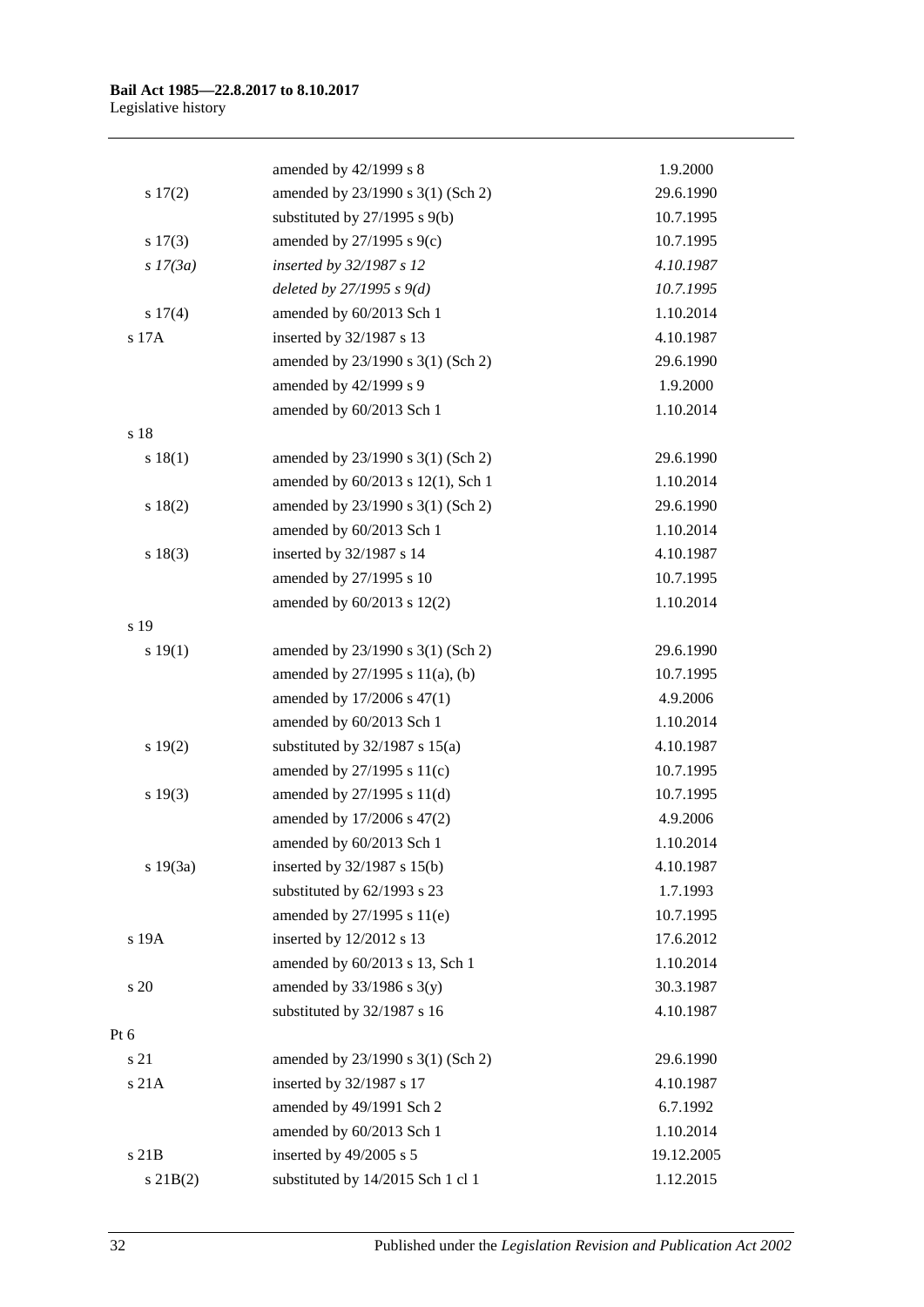|            | amended by 42/1999 s 8             | 1.9.2000   |
|------------|------------------------------------|------------|
| s 17(2)    | amended by 23/1990 s 3(1) (Sch 2)  | 29.6.1990  |
|            | substituted by $27/1995$ s $9(b)$  | 10.7.1995  |
| s 17(3)    | amended by 27/1995 s 9(c)          | 10.7.1995  |
| $s$ 17(3a) | inserted by 32/1987 s 12           | 4.10.1987  |
|            | deleted by $27/1995 s 9(d)$        | 10.7.1995  |
| s 17(4)    | amended by 60/2013 Sch 1           | 1.10.2014  |
| s 17A      | inserted by 32/1987 s 13           | 4.10.1987  |
|            | amended by 23/1990 s 3(1) (Sch 2)  | 29.6.1990  |
|            | amended by 42/1999 s 9             | 1.9.2000   |
|            | amended by 60/2013 Sch 1           | 1.10.2014  |
| s 18       |                                    |            |
| s 18(1)    | amended by 23/1990 s 3(1) (Sch 2)  | 29.6.1990  |
|            | amended by 60/2013 s 12(1), Sch 1  | 1.10.2014  |
| s 18(2)    | amended by 23/1990 s 3(1) (Sch 2)  | 29.6.1990  |
|            | amended by 60/2013 Sch 1           | 1.10.2014  |
| s 18(3)    | inserted by 32/1987 s 14           | 4.10.1987  |
|            | amended by 27/1995 s 10            | 10.7.1995  |
|            | amended by 60/2013 s 12(2)         | 1.10.2014  |
| s 19       |                                    |            |
| s 19(1)    | amended by 23/1990 s 3(1) (Sch 2)  | 29.6.1990  |
|            | amended by 27/1995 s 11(a), (b)    | 10.7.1995  |
|            | amended by 17/2006 s 47(1)         | 4.9.2006   |
|            | amended by 60/2013 Sch 1           | 1.10.2014  |
| s 19(2)    | substituted by $32/1987$ s $15(a)$ | 4.10.1987  |
|            | amended by 27/1995 s 11(c)         | 10.7.1995  |
| s 19(3)    | amended by 27/1995 s 11(d)         | 10.7.1995  |
|            | amended by 17/2006 s 47(2)         | 4.9.2006   |
|            | amended by 60/2013 Sch 1           | 1.10.2014  |
| s 19(3a)   | inserted by 32/1987 s 15(b)        | 4.10.1987  |
|            | substituted by 62/1993 s 23        | 1.7.1993   |
|            | amended by 27/1995 s 11(e)         | 10.7.1995  |
| s 19A      | inserted by 12/2012 s 13           | 17.6.2012  |
|            | amended by 60/2013 s 13, Sch 1     | 1.10.2014  |
| s 20       | amended by $33/1986$ s $3(y)$      | 30.3.1987  |
|            | substituted by 32/1987 s 16        | 4.10.1987  |
| Pt 6       |                                    |            |
| s 21       | amended by 23/1990 s 3(1) (Sch 2)  | 29.6.1990  |
| s 21A      | inserted by 32/1987 s 17           | 4.10.1987  |
|            | amended by 49/1991 Sch 2           | 6.7.1992   |
|            | amended by 60/2013 Sch 1           | 1.10.2014  |
| s 21B      | inserted by 49/2005 s 5            | 19.12.2005 |
| $s$ 21B(2) | substituted by 14/2015 Sch 1 cl 1  | 1.12.2015  |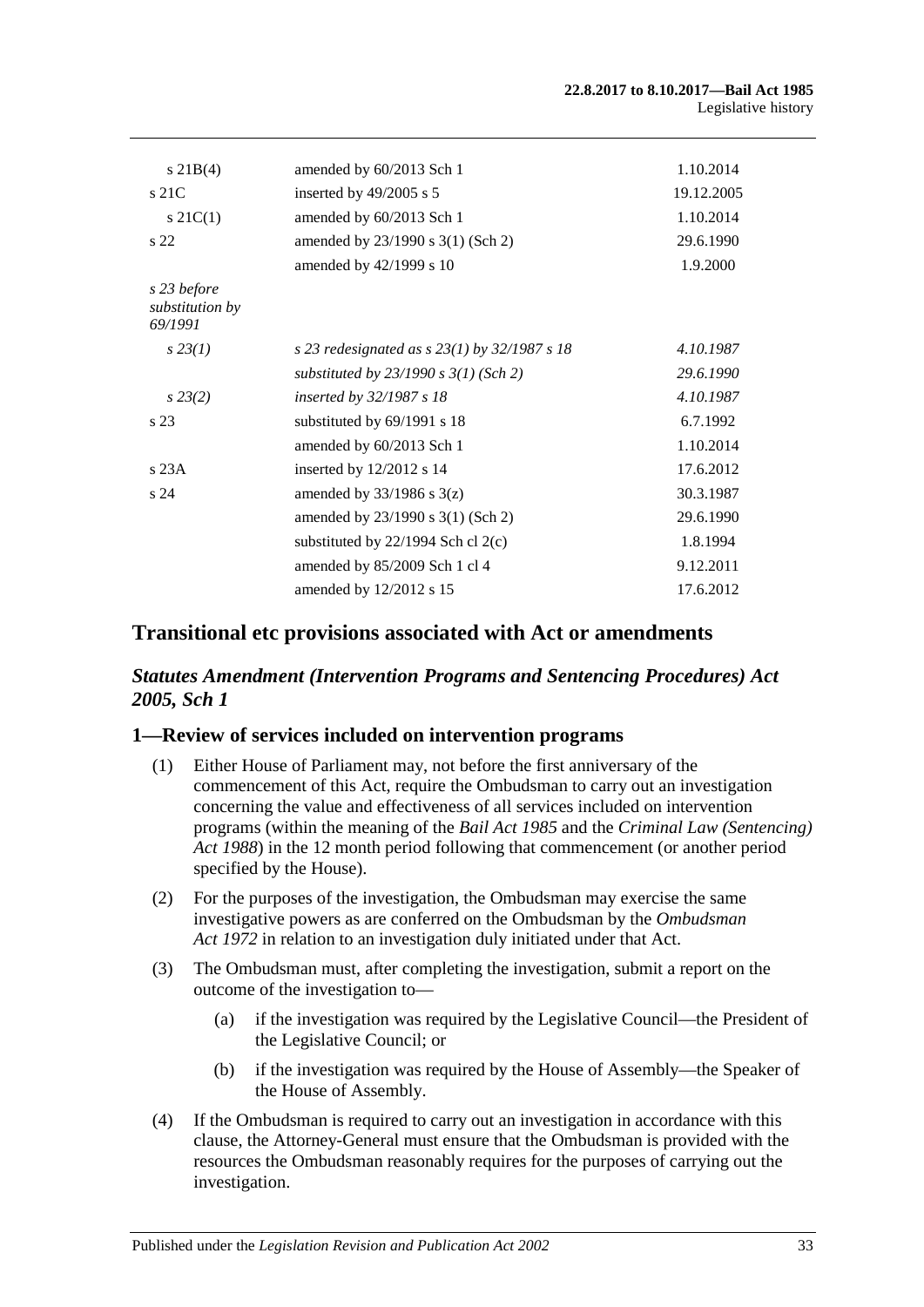| $s \, 21B(4)$                             | amended by 60/2013 Sch 1                         | 1.10.2014  |
|-------------------------------------------|--------------------------------------------------|------------|
| $s$ 21 $C$                                | inserted by 49/2005 s 5                          | 19.12.2005 |
| $s \, 21C(1)$                             | amended by 60/2013 Sch 1                         | 1.10.2014  |
| s <sub>22</sub>                           | amended by 23/1990 s 3(1) (Sch 2)                | 29.6.1990  |
|                                           | amended by 42/1999 s 10                          | 1.9.2000   |
| s 23 before<br>substitution by<br>69/1991 |                                                  |            |
| $s\,23(1)$                                | s 23 redesignated as s $23(1)$ by $32/1987$ s 18 | 4.10.1987  |
|                                           | substituted by $23/1990 s 3(1)$ (Sch 2)          | 29.6.1990  |
| $s\,23(2)$                                | <i>inserted by 32/1987 s 18</i>                  | 4.10.1987  |
| s <sub>23</sub>                           | substituted by 69/1991 s 18                      | 6.7.1992   |
|                                           | amended by 60/2013 Sch 1                         | 1.10.2014  |
| s23A                                      | inserted by 12/2012 s 14                         | 17.6.2012  |
| s <sub>24</sub>                           | amended by $33/1986$ s $3(z)$                    | 30.3.1987  |
|                                           | amended by 23/1990 s 3(1) (Sch 2)                | 29.6.1990  |
|                                           | substituted by $22/1994$ Sch cl $2(c)$           | 1.8.1994   |
|                                           | amended by 85/2009 Sch 1 cl 4                    | 9.12.2011  |
|                                           | amended by 12/2012 s 15                          | 17.6.2012  |

## **Transitional etc provisions associated with Act or amendments**

## *Statutes Amendment (Intervention Programs and Sentencing Procedures) Act 2005, Sch 1*

#### **1—Review of services included on intervention programs**

- (1) Either House of Parliament may, not before the first anniversary of the commencement of this Act, require the Ombudsman to carry out an investigation concerning the value and effectiveness of all services included on intervention programs (within the meaning of the *[Bail Act](http://www.legislation.sa.gov.au/index.aspx?action=legref&type=act&legtitle=Bail%20Act%201985) 1985* and the *[Criminal Law \(Sentencing\)](http://www.legislation.sa.gov.au/index.aspx?action=legref&type=act&legtitle=Criminal%20Law%20(Sentencing)%20Act%201988)  Act [1988](http://www.legislation.sa.gov.au/index.aspx?action=legref&type=act&legtitle=Criminal%20Law%20(Sentencing)%20Act%201988)*) in the 12 month period following that commencement (or another period specified by the House).
- (2) For the purposes of the investigation, the Ombudsman may exercise the same investigative powers as are conferred on the Ombudsman by the *[Ombudsman](http://www.legislation.sa.gov.au/index.aspx?action=legref&type=act&legtitle=Ombudsman%20Act%201972)  Act [1972](http://www.legislation.sa.gov.au/index.aspx?action=legref&type=act&legtitle=Ombudsman%20Act%201972)* in relation to an investigation duly initiated under that Act.
- (3) The Ombudsman must, after completing the investigation, submit a report on the outcome of the investigation to—
	- (a) if the investigation was required by the Legislative Council—the President of the Legislative Council; or
	- (b) if the investigation was required by the House of Assembly—the Speaker of the House of Assembly.
- (4) If the Ombudsman is required to carry out an investigation in accordance with this clause, the Attorney-General must ensure that the Ombudsman is provided with the resources the Ombudsman reasonably requires for the purposes of carrying out the investigation.